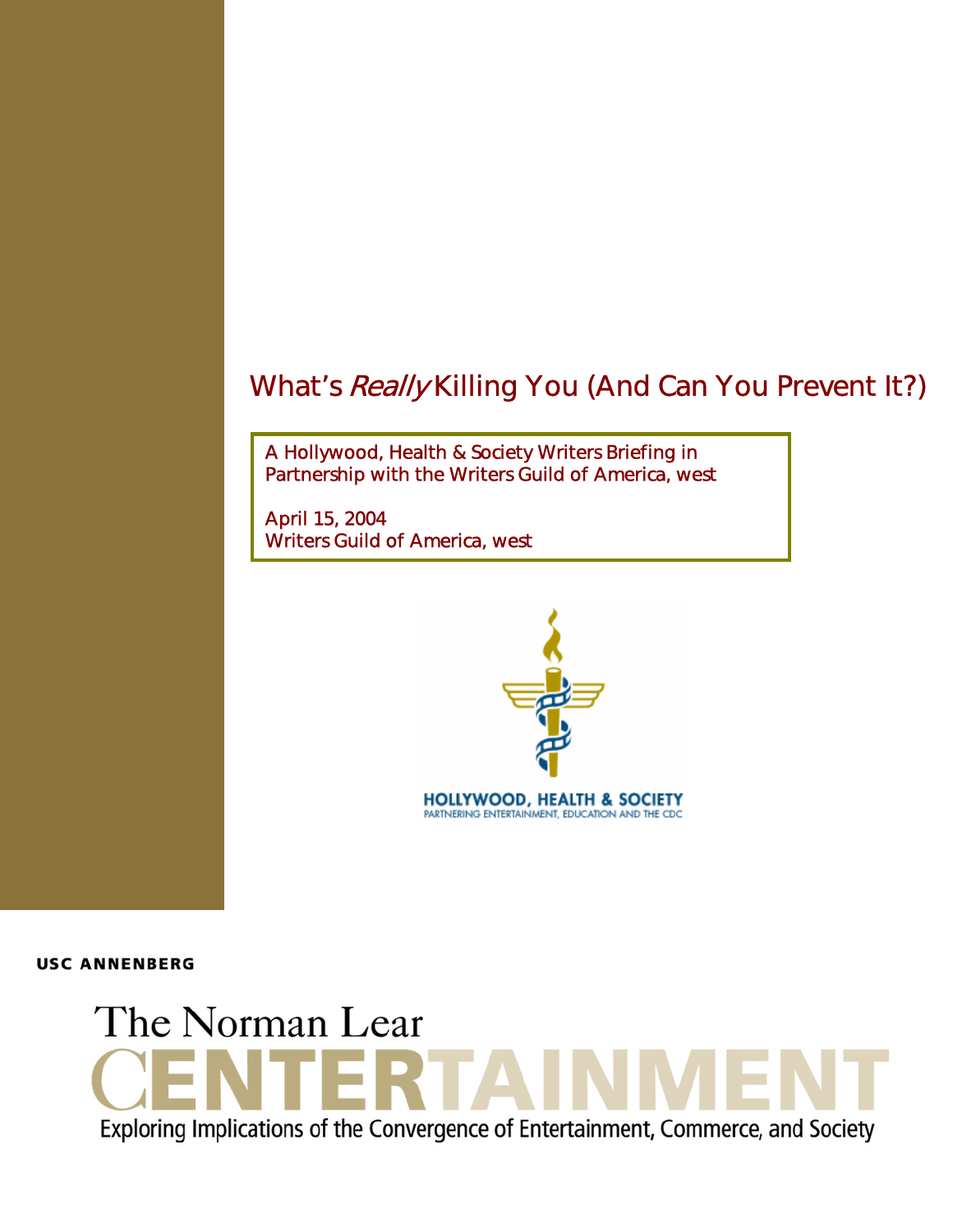A Hollywood, Health & Society Writers Briefing in Partnership with the Writers Guild of America, west

April 15, 2004 Writers Guild of America, west



**USC ANNENBERG** 

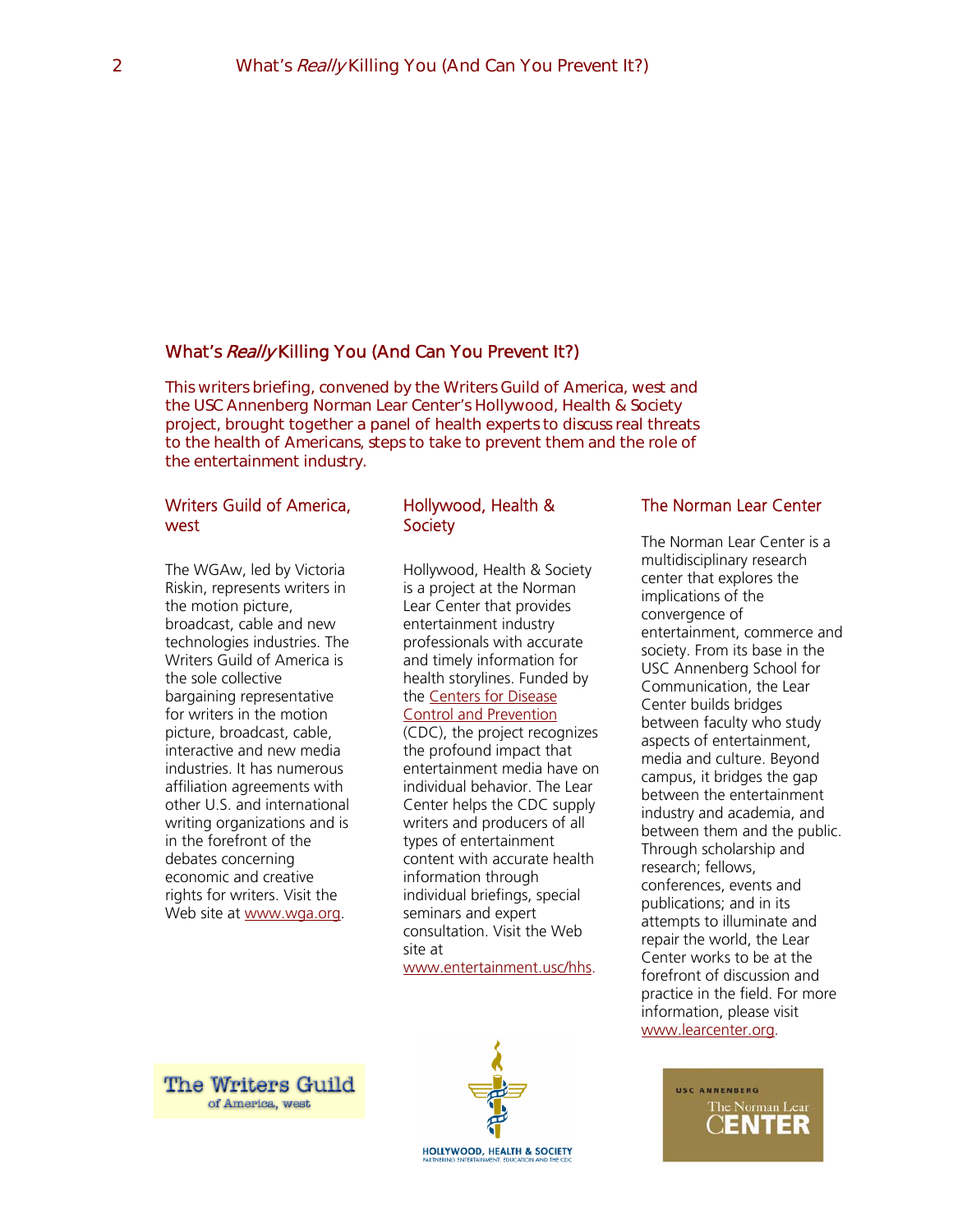This writers briefing, convened by the Writers Guild of America, west and the USC Annenberg Norman Lear Center's Hollywood, Health & Society project, brought together a panel of health experts to discuss real threats to the health of Americans, steps to take to prevent them and the role of the entertainment industry.

## Writers Guild of America, west

The WGAw, led by Victoria Riskin, represents writers in the motion picture, broadcast, cable and new technologies industries. The Writers Guild of America is the sole collective bargaining representative for writers in the motion picture, broadcast, cable, interactive and new media industries. It has numerous affiliation agreements with other U.S. and international writing organizations and is in the forefront of the debates concerning economic and creative rights for writers. Visit the Web site at [www.wga.org.](http://www.wga.org/)

## Hollywood, Health & **Society**

Hollywood, Health & Society is a project at the Norman Lear Center that provides entertainment industry professionals with accurate and timely information for health storylines. Funded by the [Centers for Disease](http://www.cdc.gov/)  [Control and Prevention](http://www.cdc.gov/)

(CDC), the project recognizes the profound impact that entertainment media have on individual behavior. The Lear Center helps the CDC supply writers and producers of all types of entertainment content with accurate health information through individual briefings, special seminars and expert consultation. Visit the Web site at

[www.entertainment.usc/hhs](http://www.entertainment.usc/hhs).

## The Norman Lear Center

The Norman Lear Center is a multidisciplinary research center that explores the implications of the convergence of entertainment, commerce and society. From its base in the USC Annenberg School for Communication, the Lear Center builds bridges between faculty who study aspects of entertainment, media and culture. Beyond campus, it bridges the gap between the entertainment industry and academia, and between them and the public. Through scholarship and research; fellows, conferences, events and publications; and in its attempts to illuminate and repair the world, the Lear Center works to be at the forefront of discussion and practice in the field. For more information, please visit [www.learcenter.org.](http://www.learcenter.org/)

**The Writers Guild** of America, west



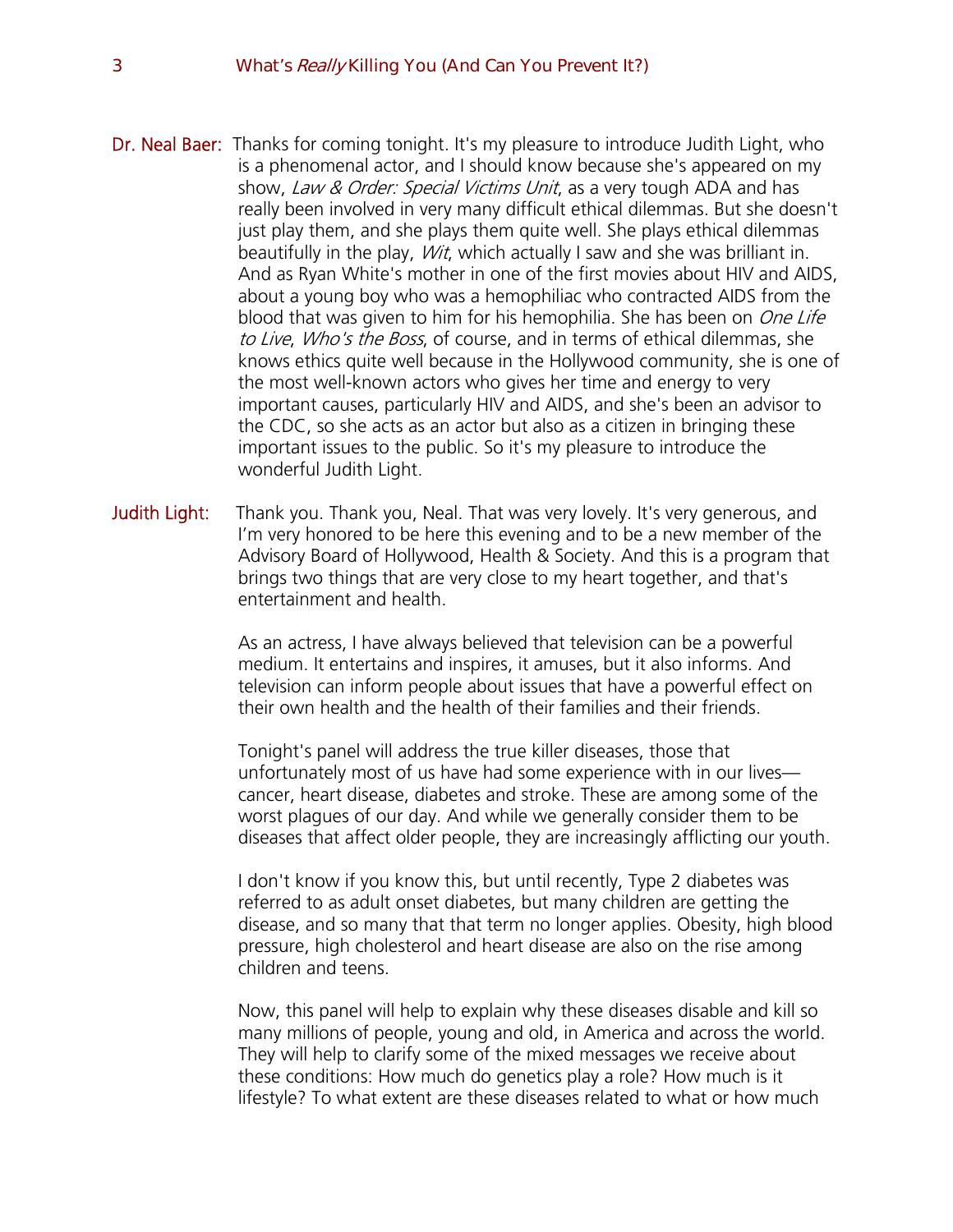- Dr. Neal Baer: Thanks for coming tonight. It's my pleasure to introduce Judith Light, who is a phenomenal actor, and I should know because she's appeared on my show, Law & Order: Special Victims Unit, as a very tough ADA and has really been involved in very many difficult ethical dilemmas. But she doesn't just play them, and she plays them quite well. She plays ethical dilemmas beautifully in the play, *Wit*, which actually I saw and she was brilliant in. And as Ryan White's mother in one of the first movies about HIV and AIDS, about a young boy who was a hemophiliac who contracted AIDS from the blood that was given to him for his hemophilia. She has been on *One Life* to Live, Who's the Boss, of course, and in terms of ethical dilemmas, she knows ethics quite well because in the Hollywood community, she is one of the most well-known actors who gives her time and energy to very important causes, particularly HIV and AIDS, and she's been an advisor to the CDC, so she acts as an actor but also as a citizen in bringing these important issues to the public. So it's my pleasure to introduce the wonderful Judith Light.
- Judith Light: Thank you. Thank you, Neal. That was very lovely. It's very generous, and I'm very honored to be here this evening and to be a new member of the Advisory Board of Hollywood, Health & Society. And this is a program that brings two things that are very close to my heart together, and that's entertainment and health.

As an actress, I have always believed that television can be a powerful medium. It entertains and inspires, it amuses, but it also informs. And television can inform people about issues that have a powerful effect on their own health and the health of their families and their friends.

Tonight's panel will address the true killer diseases, those that unfortunately most of us have had some experience with in our lives cancer, heart disease, diabetes and stroke. These are among some of the worst plagues of our day. And while we generally consider them to be diseases that affect older people, they are increasingly afflicting our youth.

I don't know if you know this, but until recently, Type 2 diabetes was referred to as adult onset diabetes, but many children are getting the disease, and so many that that term no longer applies. Obesity, high blood pressure, high cholesterol and heart disease are also on the rise among children and teens.

Now, this panel will help to explain why these diseases disable and kill so many millions of people, young and old, in America and across the world. They will help to clarify some of the mixed messages we receive about these conditions: How much do genetics play a role? How much is it lifestyle? To what extent are these diseases related to what or how much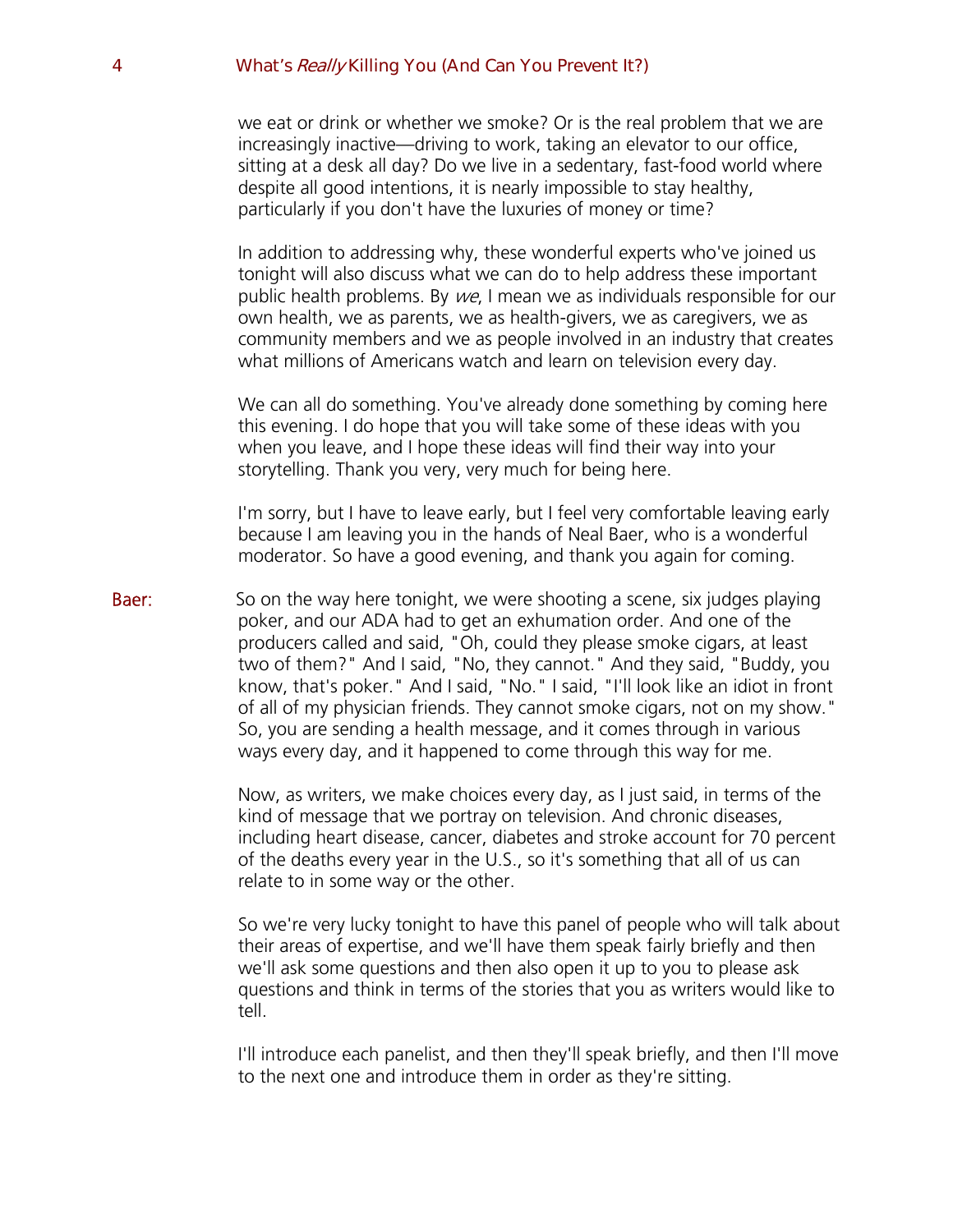we eat or drink or whether we smoke? Or is the real problem that we are increasingly inactive—driving to work, taking an elevator to our office, sitting at a desk all day? Do we live in a sedentary, fast-food world where despite all good intentions, it is nearly impossible to stay healthy, particularly if you don't have the luxuries of money or time?

In addition to addressing why, these wonderful experts who've joined us tonight will also discuss what we can do to help address these important public health problems. By we, I mean we as individuals responsible for our own health, we as parents, we as health-givers, we as caregivers, we as community members and we as people involved in an industry that creates what millions of Americans watch and learn on television every day.

We can all do something. You've already done something by coming here this evening. I do hope that you will take some of these ideas with you when you leave, and I hope these ideas will find their way into your storytelling. Thank you very, very much for being here.

I'm sorry, but I have to leave early, but I feel very comfortable leaving early because I am leaving you in the hands of Neal Baer, who is a wonderful moderator. So have a good evening, and thank you again for coming.

**Baer:** So on the way here tonight, we were shooting a scene, six judges playing poker, and our ADA had to get an exhumation order. And one of the producers called and said, "Oh, could they please smoke cigars, at least two of them?" And I said, "No, they cannot." And they said, "Buddy, you know, that's poker." And I said, "No." I said, "I'll look like an idiot in front of all of my physician friends. They cannot smoke cigars, not on my show." So, you are sending a health message, and it comes through in various ways every day, and it happened to come through this way for me.

> Now, as writers, we make choices every day, as I just said, in terms of the kind of message that we portray on television. And chronic diseases, including heart disease, cancer, diabetes and stroke account for 70 percent of the deaths every year in the U.S., so it's something that all of us can relate to in some way or the other.

> So we're very lucky tonight to have this panel of people who will talk about their areas of expertise, and we'll have them speak fairly briefly and then we'll ask some questions and then also open it up to you to please ask questions and think in terms of the stories that you as writers would like to tell.

> I'll introduce each panelist, and then they'll speak briefly, and then I'll move to the next one and introduce them in order as they're sitting.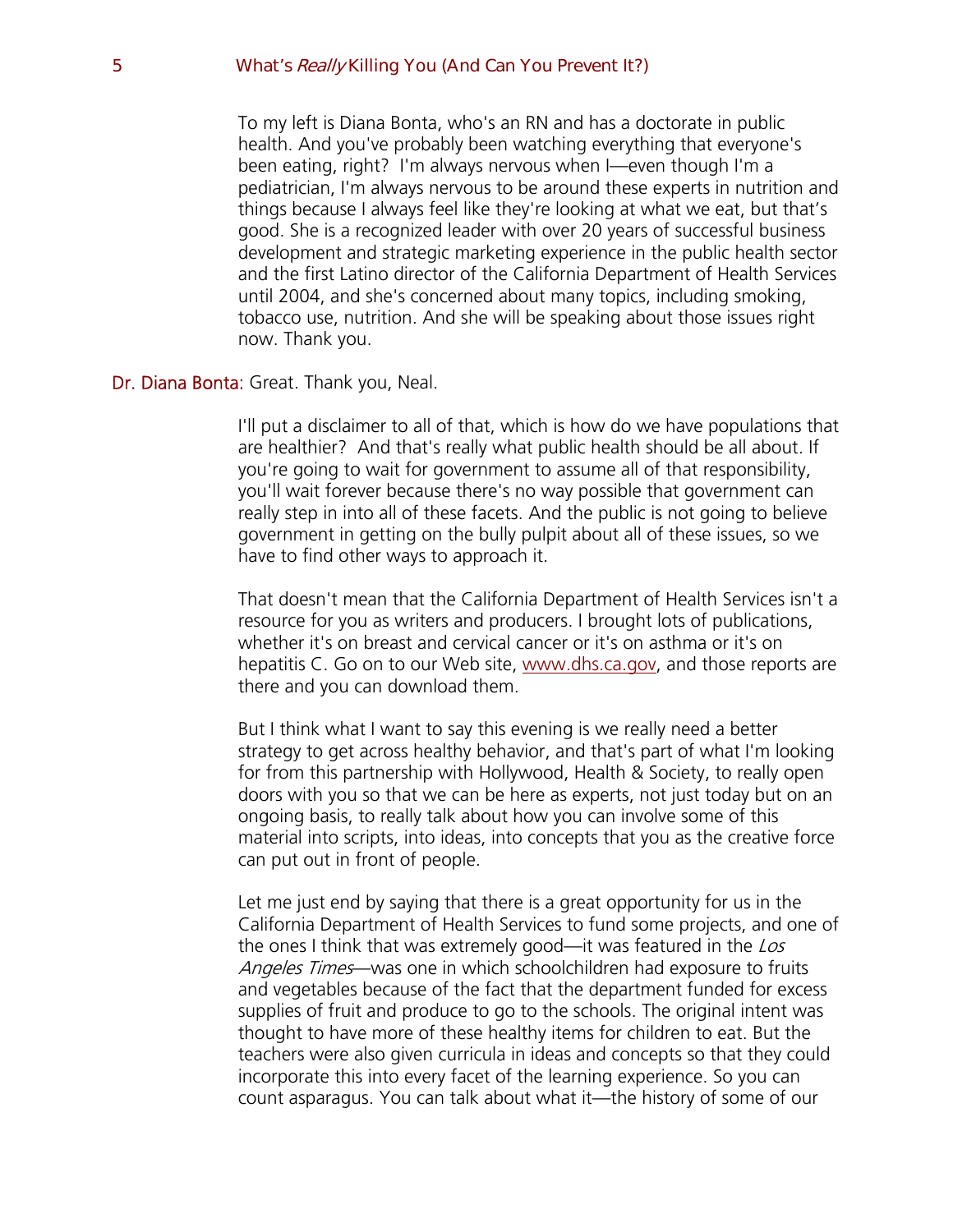To my left is Diana Bonta, who's an RN and has a doctorate in public health. And you've probably been watching everything that everyone's been eating, right? I'm always nervous when I—even though I'm a pediatrician, I'm always nervous to be around these experts in nutrition and things because I always feel like they're looking at what we eat, but that's good. She is a recognized leader with over 20 years of successful business development and strategic marketing experience in the public health sector and the first Latino director of the California Department of Health Services until 2004, and she's concerned about many topics, including smoking, tobacco use, nutrition. And she will be speaking about those issues right now. Thank you.

## Dr. Diana Bonta: Great. Thank you, Neal.

I'll put a disclaimer to all of that, which is how do we have populations that are healthier? And that's really what public health should be all about. If you're going to wait for government to assume all of that responsibility, you'll wait forever because there's no way possible that government can really step in into all of these facets. And the public is not going to believe government in getting on the bully pulpit about all of these issues, so we have to find other ways to approach it.

That doesn't mean that the California Department of Health Services isn't a resource for you as writers and producers. I brought lots of publications, whether it's on breast and cervical cancer or it's on asthma or it's on hepatitis C. Go on to our Web site, [www.dhs.ca.gov,](http://www.dhs.ca.gov/) and those reports are there and you can download them.

But I think what I want to say this evening is we really need a better strategy to get across healthy behavior, and that's part of what I'm looking for from this partnership with Hollywood, Health & Society, to really open doors with you so that we can be here as experts, not just today but on an ongoing basis, to really talk about how you can involve some of this material into scripts, into ideas, into concepts that you as the creative force can put out in front of people.

Let me just end by saying that there is a great opportunity for us in the California Department of Health Services to fund some projects, and one of the ones I think that was extremely good—it was featured in the Los Angeles Times—was one in which schoolchildren had exposure to fruits and vegetables because of the fact that the department funded for excess supplies of fruit and produce to go to the schools. The original intent was thought to have more of these healthy items for children to eat. But the teachers were also given curricula in ideas and concepts so that they could incorporate this into every facet of the learning experience. So you can count asparagus. You can talk about what it—the history of some of our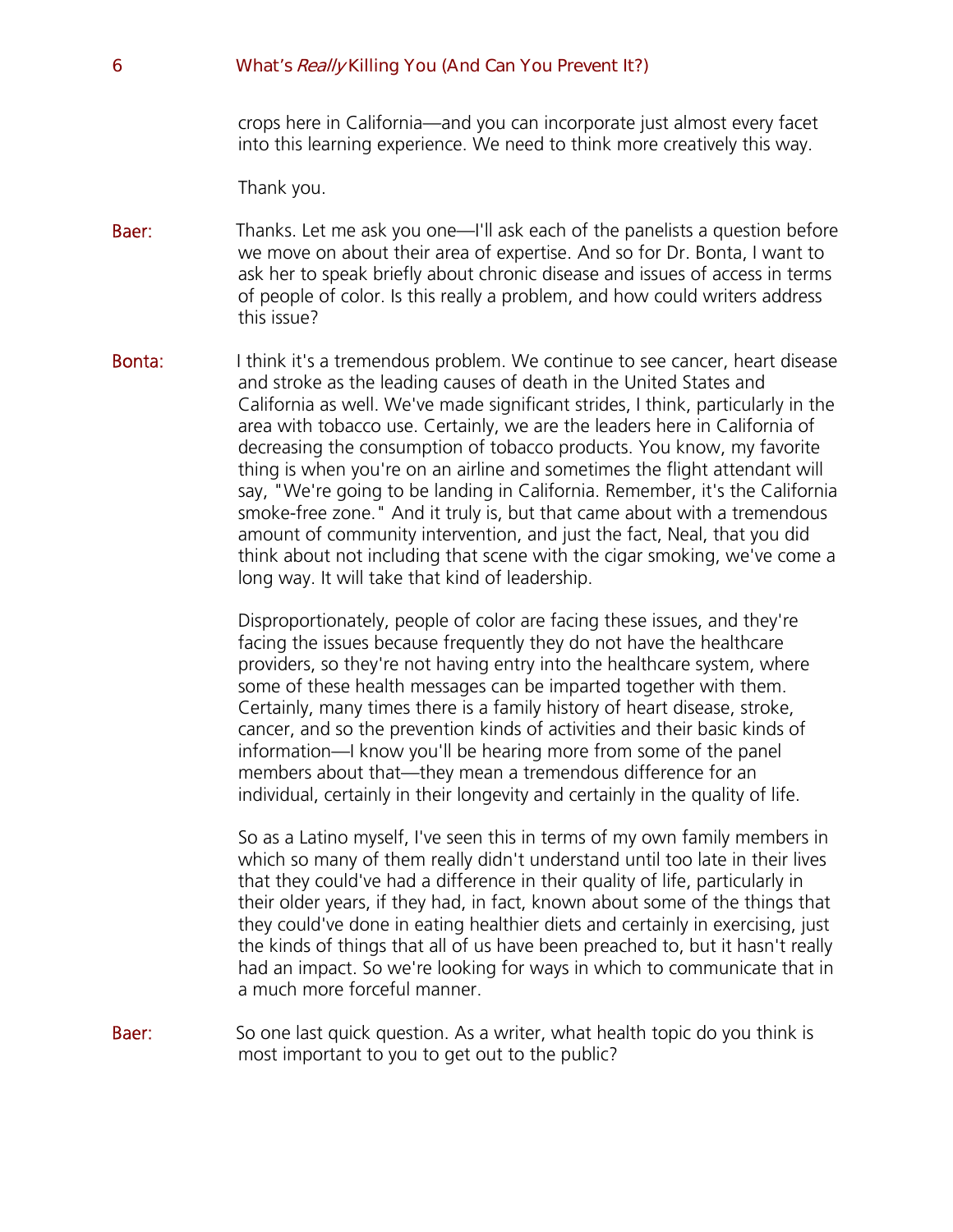crops here in California—and you can incorporate just almost every facet into this learning experience. We need to think more creatively this way.

Thank you.

- **Baer:** Thanks. Let me ask you one—I'll ask each of the panelists a question before we move on about their area of expertise. And so for Dr. Bonta, I want to ask her to speak briefly about chronic disease and issues of access in terms of people of color. Is this really a problem, and how could writers address this issue?
- **Bonta:** I think it's a tremendous problem. We continue to see cancer, heart disease and stroke as the leading causes of death in the United States and California as well. We've made significant strides, I think, particularly in the area with tobacco use. Certainly, we are the leaders here in California of decreasing the consumption of tobacco products. You know, my favorite thing is when you're on an airline and sometimes the flight attendant will say, "We're going to be landing in California. Remember, it's the California smoke-free zone." And it truly is, but that came about with a tremendous amount of community intervention, and just the fact, Neal, that you did think about not including that scene with the cigar smoking, we've come a long way. It will take that kind of leadership.

Disproportionately, people of color are facing these issues, and they're facing the issues because frequently they do not have the healthcare providers, so they're not having entry into the healthcare system, where some of these health messages can be imparted together with them. Certainly, many times there is a family history of heart disease, stroke, cancer, and so the prevention kinds of activities and their basic kinds of information—I know you'll be hearing more from some of the panel members about that—they mean a tremendous difference for an individual, certainly in their longevity and certainly in the quality of life.

So as a Latino myself, I've seen this in terms of my own family members in which so many of them really didn't understand until too late in their lives that they could've had a difference in their quality of life, particularly in their older years, if they had, in fact, known about some of the things that they could've done in eating healthier diets and certainly in exercising, just the kinds of things that all of us have been preached to, but it hasn't really had an impact. So we're looking for ways in which to communicate that in a much more forceful manner.

**Baer:** So one last quick question. As a writer, what health topic do you think is most important to you to get out to the public?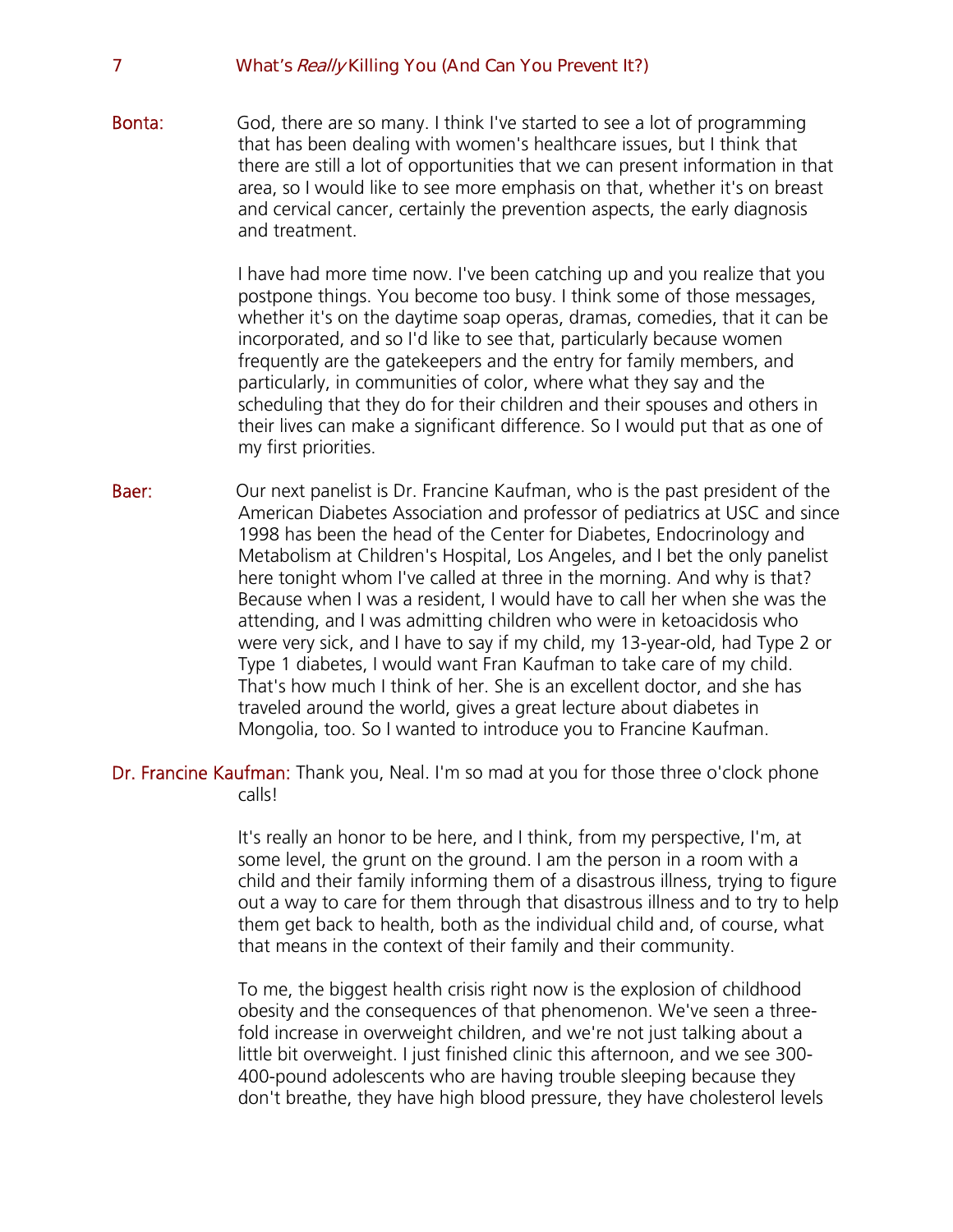Bonta: God, there are so many. I think I've started to see a lot of programming that has been dealing with women's healthcare issues, but I think that there are still a lot of opportunities that we can present information in that area, so I would like to see more emphasis on that, whether it's on breast and cervical cancer, certainly the prevention aspects, the early diagnosis and treatment.

> I have had more time now. I've been catching up and you realize that you postpone things. You become too busy. I think some of those messages, whether it's on the daytime soap operas, dramas, comedies, that it can be incorporated, and so I'd like to see that, particularly because women frequently are the gatekeepers and the entry for family members, and particularly, in communities of color, where what they say and the scheduling that they do for their children and their spouses and others in their lives can make a significant difference. So I would put that as one of my first priorities.

- **Baer:** Our next panelist is Dr. Francine Kaufman, who is the past president of the American Diabetes Association and professor of pediatrics at USC and since 1998 has been the head of the Center for Diabetes, Endocrinology and Metabolism at Children's Hospital, Los Angeles, and I bet the only panelist here tonight whom I've called at three in the morning. And why is that? Because when I was a resident, I would have to call her when she was the attending, and I was admitting children who were in ketoacidosis who were very sick, and I have to say if my child, my 13-year-old, had Type 2 or Type 1 diabetes, I would want Fran Kaufman to take care of my child. That's how much I think of her. She is an excellent doctor, and she has traveled around the world, gives a great lecture about diabetes in Mongolia, too. So I wanted to introduce you to Francine Kaufman.
- Dr. Francine Kaufman: Thank you, Neal. I'm so mad at you for those three o'clock phone calls!

It's really an honor to be here, and I think, from my perspective, I'm, at some level, the grunt on the ground. I am the person in a room with a child and their family informing them of a disastrous illness, trying to figure out a way to care for them through that disastrous illness and to try to help them get back to health, both as the individual child and, of course, what that means in the context of their family and their community.

To me, the biggest health crisis right now is the explosion of childhood obesity and the consequences of that phenomenon. We've seen a threefold increase in overweight children, and we're not just talking about a little bit overweight. I just finished clinic this afternoon, and we see 300- 400-pound adolescents who are having trouble sleeping because they don't breathe, they have high blood pressure, they have cholesterol levels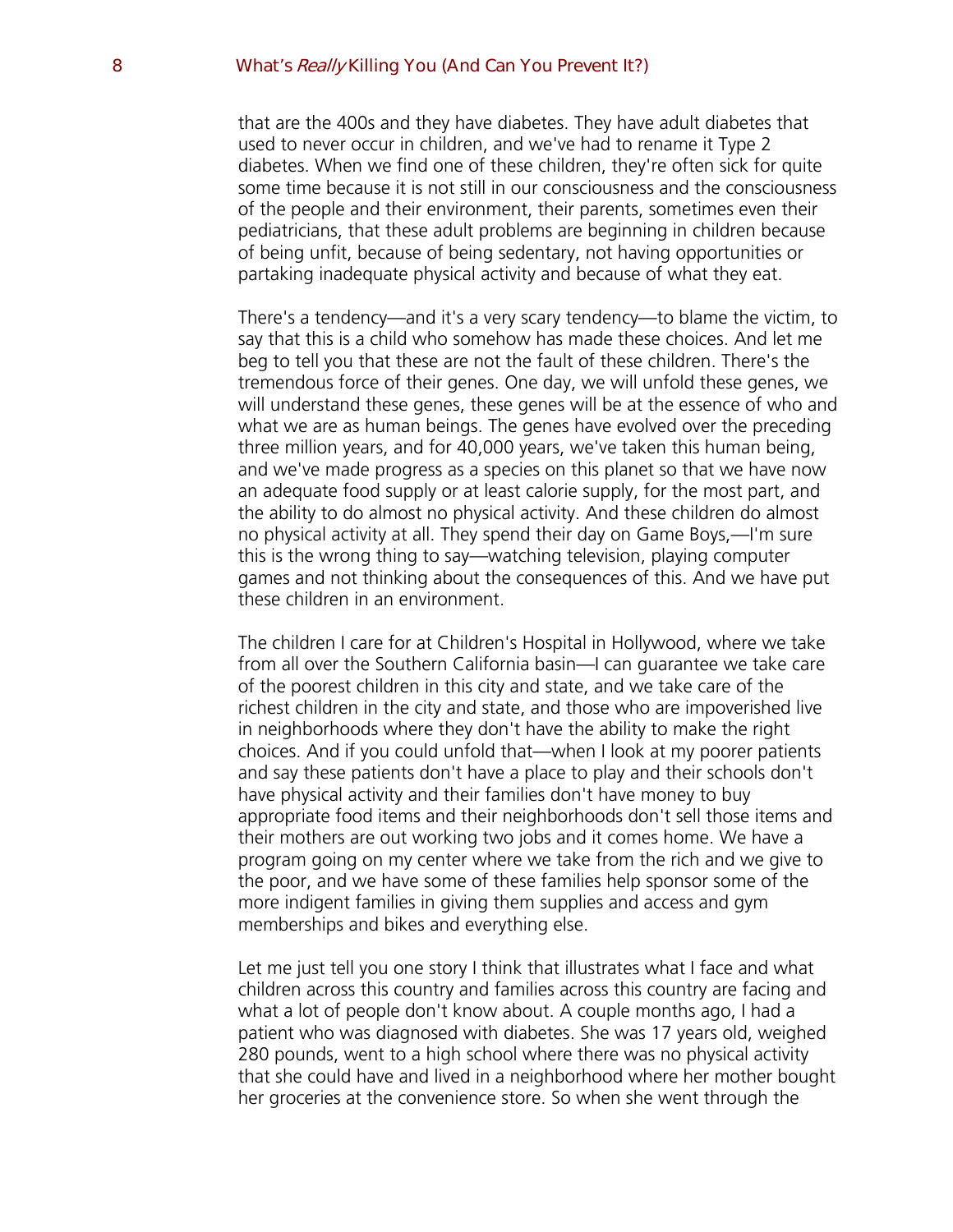that are the 400s and they have diabetes. They have adult diabetes that used to never occur in children, and we've had to rename it Type 2 diabetes. When we find one of these children, they're often sick for quite some time because it is not still in our consciousness and the consciousness of the people and their environment, their parents, sometimes even their pediatricians, that these adult problems are beginning in children because of being unfit, because of being sedentary, not having opportunities or partaking inadequate physical activity and because of what they eat.

There's a tendency—and it's a very scary tendency—to blame the victim, to say that this is a child who somehow has made these choices. And let me beg to tell you that these are not the fault of these children. There's the tremendous force of their genes. One day, we will unfold these genes, we will understand these genes, these genes will be at the essence of who and what we are as human beings. The genes have evolved over the preceding three million years, and for  $40,000$  years, we've taken this human being, and we've made progress as a species on this planet so that we have now an adequate food supply or at least calorie supply, for the most part, and the ability to do almost no physical activity. And these children do almost no physical activity at all. They spend their day on Game Boys,—I'm sure this is the wrong thing to say—watching television, playing computer games and not thinking about the consequences of this. And we have put these children in an environment.

The children I care for at Children's Hospital in Hollywood, where we take from all over the Southern California basin—I can guarantee we take care of the poorest children in this city and state, and we take care of the richest children in the city and state, and those who are impoverished live in neighborhoods where they don't have the ability to make the right choices. And if you could unfold that—when I look at my poorer patients and say these patients don't have a place to play and their schools don't have physical activity and their families don't have money to buy appropriate food items and their neighborhoods don't sell those items and their mothers are out working two jobs and it comes home. We have a program going on my center where we take from the rich and we give to the poor, and we have some of these families help sponsor some of the more indigent families in giving them supplies and access and gym memberships and bikes and everything else.

Let me just tell you one story I think that illustrates what I face and what children across this country and families across this country are facing and what a lot of people don't know about. A couple months ago, I had a patient who was diagnosed with diabetes. She was 17 years old, weighed 280 pounds, went to a high school where there was no physical activity that she could have and lived in a neighborhood where her mother bought her groceries at the convenience store. So when she went through the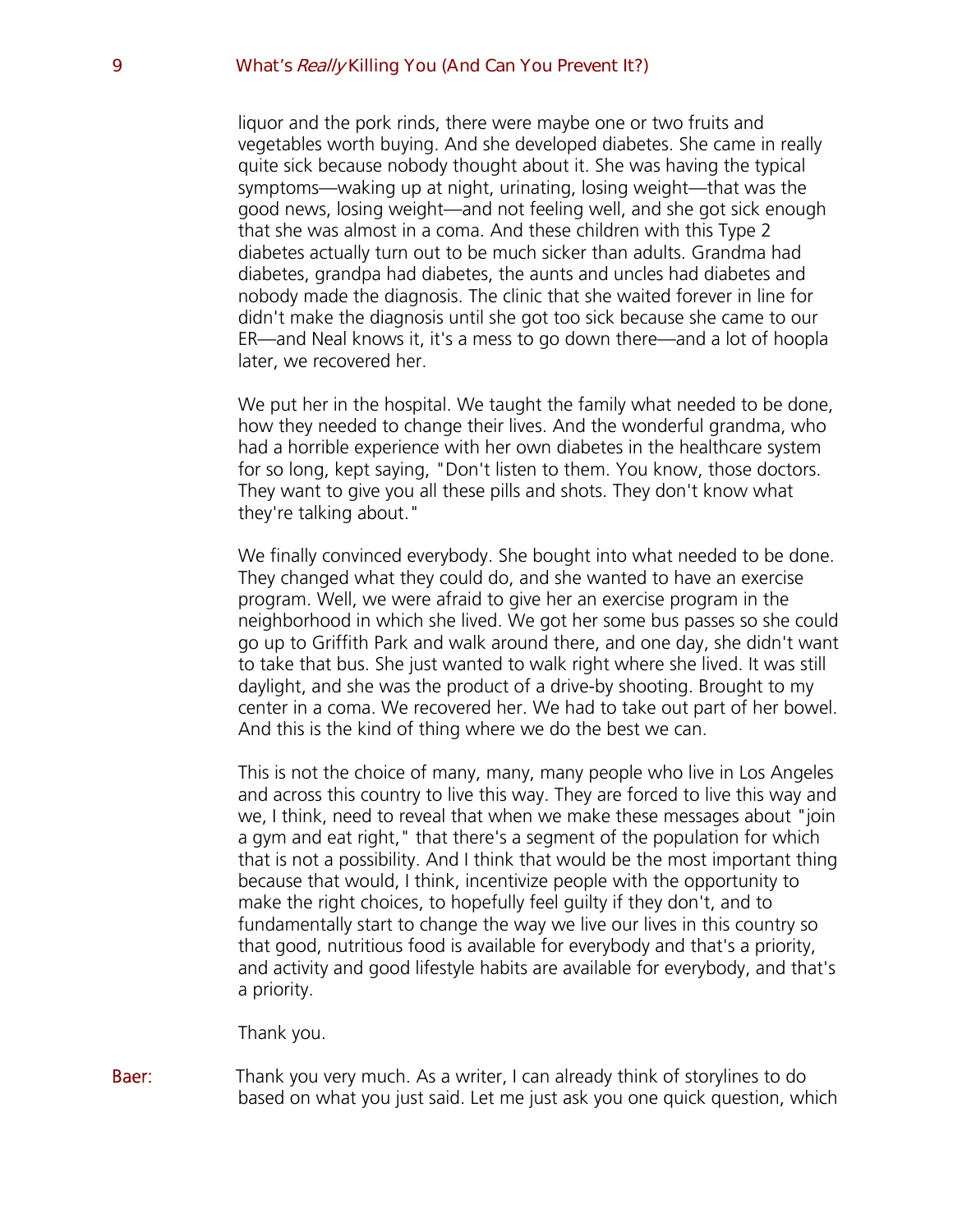liquor and the pork rinds, there were maybe one or two fruits and vegetables worth buying. And she developed diabetes. She came in really quite sick because nobody thought about it. She was having the typical symptoms—waking up at night, urinating, losing weight—that was the good news, losing weight—and not feeling well, and she got sick enough that she was almost in a coma. And these children with this Type 2 diabetes actually turn out to be much sicker than adults. Grandma had diabetes, grandpa had diabetes, the aunts and uncles had diabetes and nobody made the diagnosis. The clinic that she waited forever in line for didn't make the diagnosis until she got too sick because she came to our ER—and Neal knows it, it's a mess to go down there—and a lot of hoopla later, we recovered her.

We put her in the hospital. We taught the family what needed to be done, how they needed to change their lives. And the wonderful grandma, who had a horrible experience with her own diabetes in the healthcare system for so long, kept saying, "Don't listen to them. You know, those doctors. They want to give you all these pills and shots. They don't know what they're talking about."

We finally convinced everybody. She bought into what needed to be done. They changed what they could do, and she wanted to have an exercise program. Well, we were afraid to give her an exercise program in the neighborhood in which she lived. We got her some bus passes so she could go up to Griffith Park and walk around there, and one day, she didn't want to take that bus. She just wanted to walk right where she lived. It was still daylight, and she was the product of a drive-by shooting. Brought to my center in a coma. We recovered her. We had to take out part of her bowel. And this is the kind of thing where we do the best we can.

This is not the choice of many, many, many people who live in Los Angeles and across this country to live this way. They are forced to live this way and we, I think, need to reveal that when we make these messages about "join a gym and eat right," that there's a segment of the population for which that is not a possibility. And I think that would be the most important thing because that would, I think, incentivize people with the opportunity to make the right choices, to hopefully feel guilty if they don't, and to fundamentally start to change the way we live our lives in this country so that good, nutritious food is available for everybody and that's a priority, and activity and good lifestyle habits are available for everybody, and that's a priority.

Thank you.

Baer: Thank you very much. As a writer, I can already think of storylines to do based on what you just said. Let me just ask you one quick question, which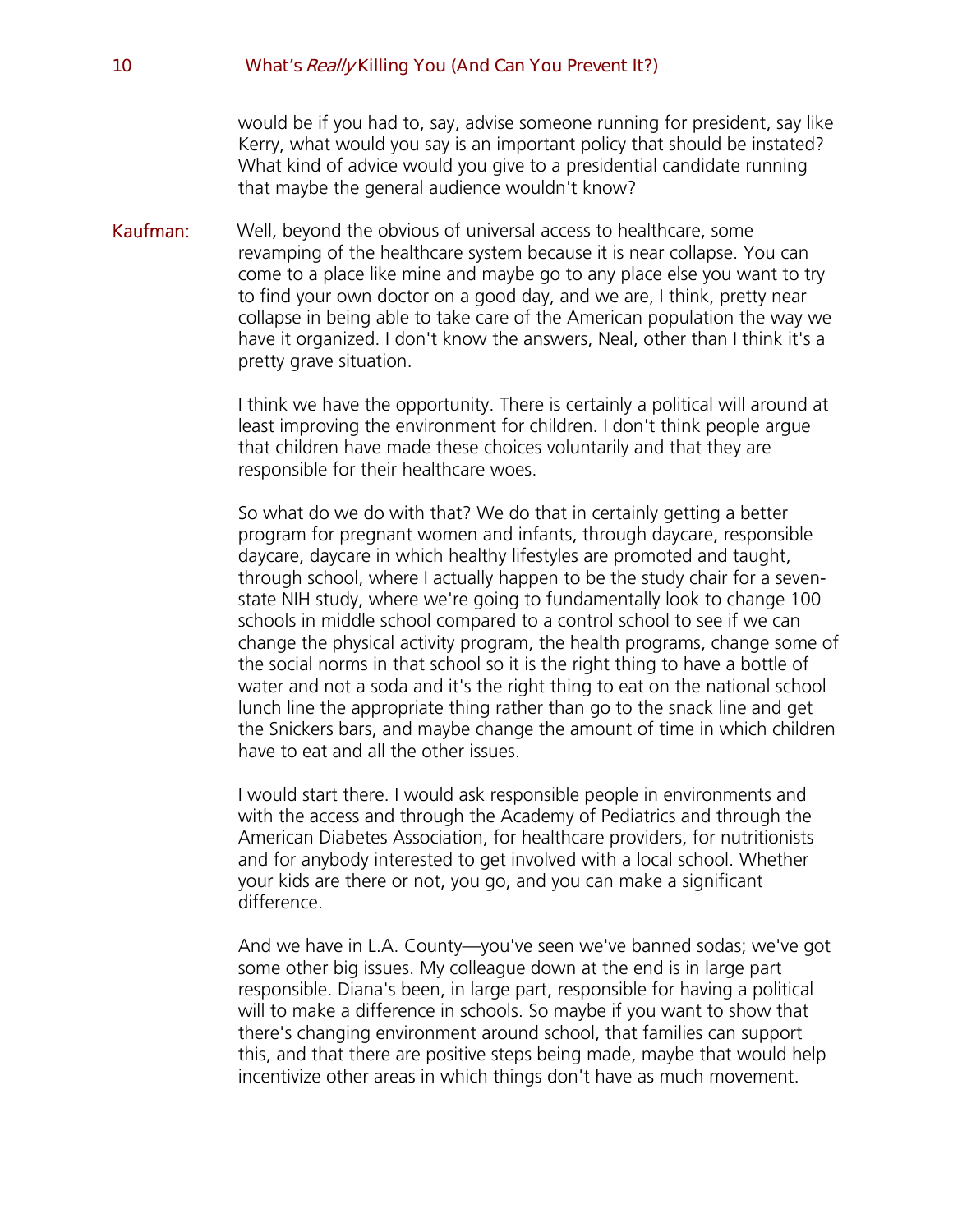would be if you had to, say, advise someone running for president, say like Kerry, what would you say is an important policy that should be instated? What kind of advice would you give to a presidential candidate running that maybe the general audience wouldn't know?

Kaufman: Well, beyond the obvious of universal access to healthcare, some revamping of the healthcare system because it is near collapse. You can come to a place like mine and maybe go to any place else you want to try to find your own doctor on a good day, and we are, I think, pretty near collapse in being able to take care of the American population the way we have it organized. I don't know the answers, Neal, other than I think it's a pretty grave situation.

> I think we have the opportunity. There is certainly a political will around at least improving the environment for children. I don't think people argue that children have made these choices voluntarily and that they are responsible for their healthcare woes.

So what do we do with that? We do that in certainly getting a better program for pregnant women and infants, through daycare, responsible daycare, daycare in which healthy lifestyles are promoted and taught, through school, where I actually happen to be the study chair for a sevenstate NIH study, where we're going to fundamentally look to change 100 schools in middle school compared to a control school to see if we can change the physical activity program, the health programs, change some of the social norms in that school so it is the right thing to have a bottle of water and not a soda and it's the right thing to eat on the national school lunch line the appropriate thing rather than go to the snack line and get the Snickers bars, and maybe change the amount of time in which children have to eat and all the other issues.

I would start there. I would ask responsible people in environments and with the access and through the Academy of Pediatrics and through the American Diabetes Association, for healthcare providers, for nutritionists and for anybody interested to get involved with a local school. Whether your kids are there or not, you go, and you can make a significant difference.

And we have in L.A. County—you've seen we've banned sodas; we've got some other big issues. My colleague down at the end is in large part responsible. Diana's been, in large part, responsible for having a political will to make a difference in schools. So maybe if you want to show that there's changing environment around school, that families can support this, and that there are positive steps being made, maybe that would help incentivize other areas in which things don't have as much movement.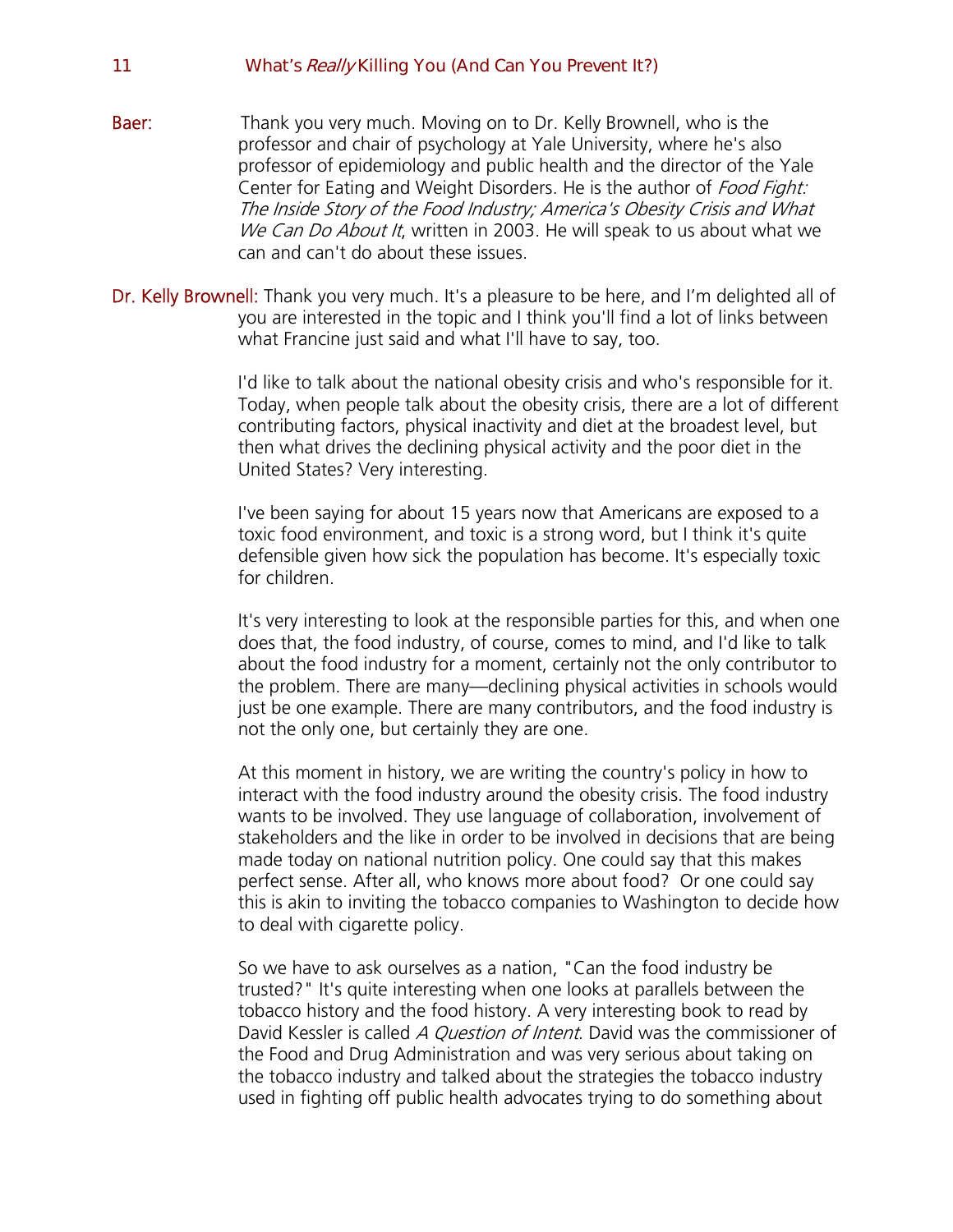- **Baer:** Thank you very much. Moving on to Dr. Kelly Brownell, who is the professor and chair of psychology at Yale University, where he's also professor of epidemiology and public health and the director of the Yale Center for Eating and Weight Disorders. He is the author of Food Fight: The Inside Story of the Food Industry; America's Obesity Crisis and What We Can Do About It, written in 2003. He will speak to us about what we can and can't do about these issues.
- Dr. Kelly Brownell: Thank you very much. It's a pleasure to be here, and I'm delighted all of you are interested in the topic and I think you'll find a lot of links between what Francine just said and what I'll have to say, too.

I'd like to talk about the national obesity crisis and who's responsible for it. Today, when people talk about the obesity crisis, there are a lot of different contributing factors, physical inactivity and diet at the broadest level, but then what drives the declining physical activity and the poor diet in the United States? Very interesting.

I've been saying for about 15 years now that Americans are exposed to a toxic food environment, and toxic is a strong word, but I think it's quite defensible given how sick the population has become. It's especially toxic for children.

It's very interesting to look at the responsible parties for this, and when one does that, the food industry, of course, comes to mind, and I'd like to talk about the food industry for a moment, certainly not the only contributor to the problem. There are many—declining physical activities in schools would just be one example. There are many contributors, and the food industry is not the only one, but certainly they are one.

At this moment in history, we are writing the country's policy in how to interact with the food industry around the obesity crisis. The food industry wants to be involved. They use language of collaboration, involvement of stakeholders and the like in order to be involved in decisions that are being made today on national nutrition policy. One could say that this makes perfect sense. After all, who knows more about food? Or one could say this is akin to inviting the tobacco companies to Washington to decide how to deal with cigarette policy.

So we have to ask ourselves as a nation, "Can the food industry be trusted?" It's quite interesting when one looks at parallels between the tobacco history and the food history. A very interesting book to read by David Kessler is called A Question of Intent. David was the commissioner of the Food and Drug Administration and was very serious about taking on the tobacco industry and talked about the strategies the tobacco industry used in fighting off public health advocates trying to do something about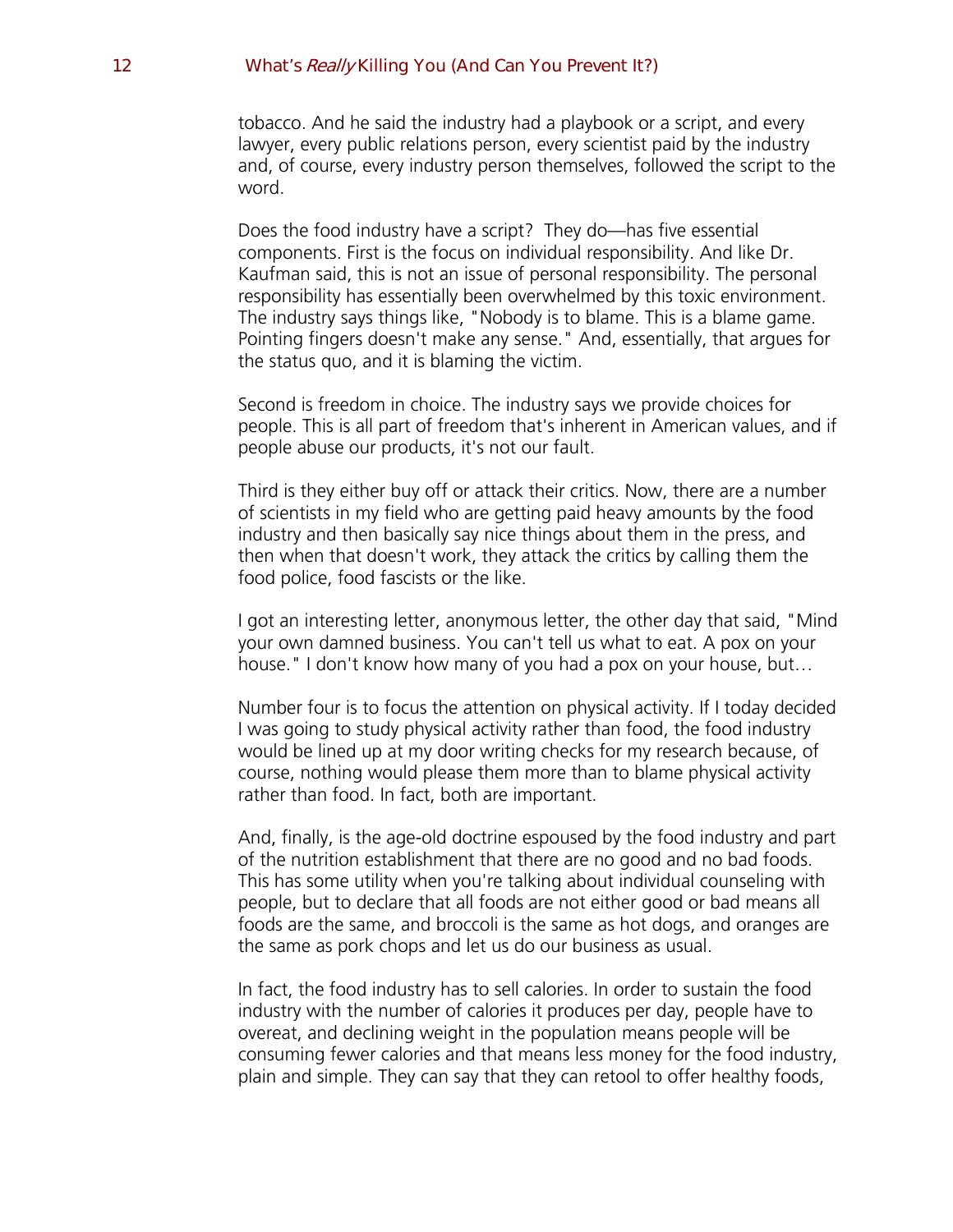tobacco. And he said the industry had a playbook or a script, and every lawyer, every public relations person, every scientist paid by the industry and, of course, every industry person themselves, followed the script to the word.

Does the food industry have a script? They do—has five essential components. First is the focus on individual responsibility. And like Dr. Kaufman said, this is not an issue of personal responsibility. The personal responsibility has essentially been overwhelmed by this toxic environment. The industry says things like, "Nobody is to blame. This is a blame game. Pointing fingers doesn't make any sense." And, essentially, that argues for the status quo, and it is blaming the victim.

Second is freedom in choice. The industry says we provide choices for people. This is all part of freedom that's inherent in American values, and if people abuse our products, it's not our fault.

Third is they either buy off or attack their critics. Now, there are a number of scientists in my field who are getting paid heavy amounts by the food industry and then basically say nice things about them in the press, and then when that doesn't work, they attack the critics by calling them the food police, food fascists or the like.

I got an interesting letter, anonymous letter, the other day that said, "Mind your own damned business. You can't tell us what to eat. A pox on your house." I don't know how many of you had a pox on your house, but…

Number four is to focus the attention on physical activity. If I today decided I was going to study physical activity rather than food, the food industry would be lined up at my door writing checks for my research because, of course, nothing would please them more than to blame physical activity rather than food. In fact, both are important.

And, finally, is the age-old doctrine espoused by the food industry and part of the nutrition establishment that there are no good and no bad foods. This has some utility when you're talking about individual counseling with people, but to declare that all foods are not either good or bad means all foods are the same, and broccoli is the same as hot dogs, and oranges are the same as pork chops and let us do our business as usual.

In fact, the food industry has to sell calories. In order to sustain the food industry with the number of calories it produces per day, people have to overeat, and declining weight in the population means people will be consuming fewer calories and that means less money for the food industry, plain and simple. They can say that they can retool to offer healthy foods,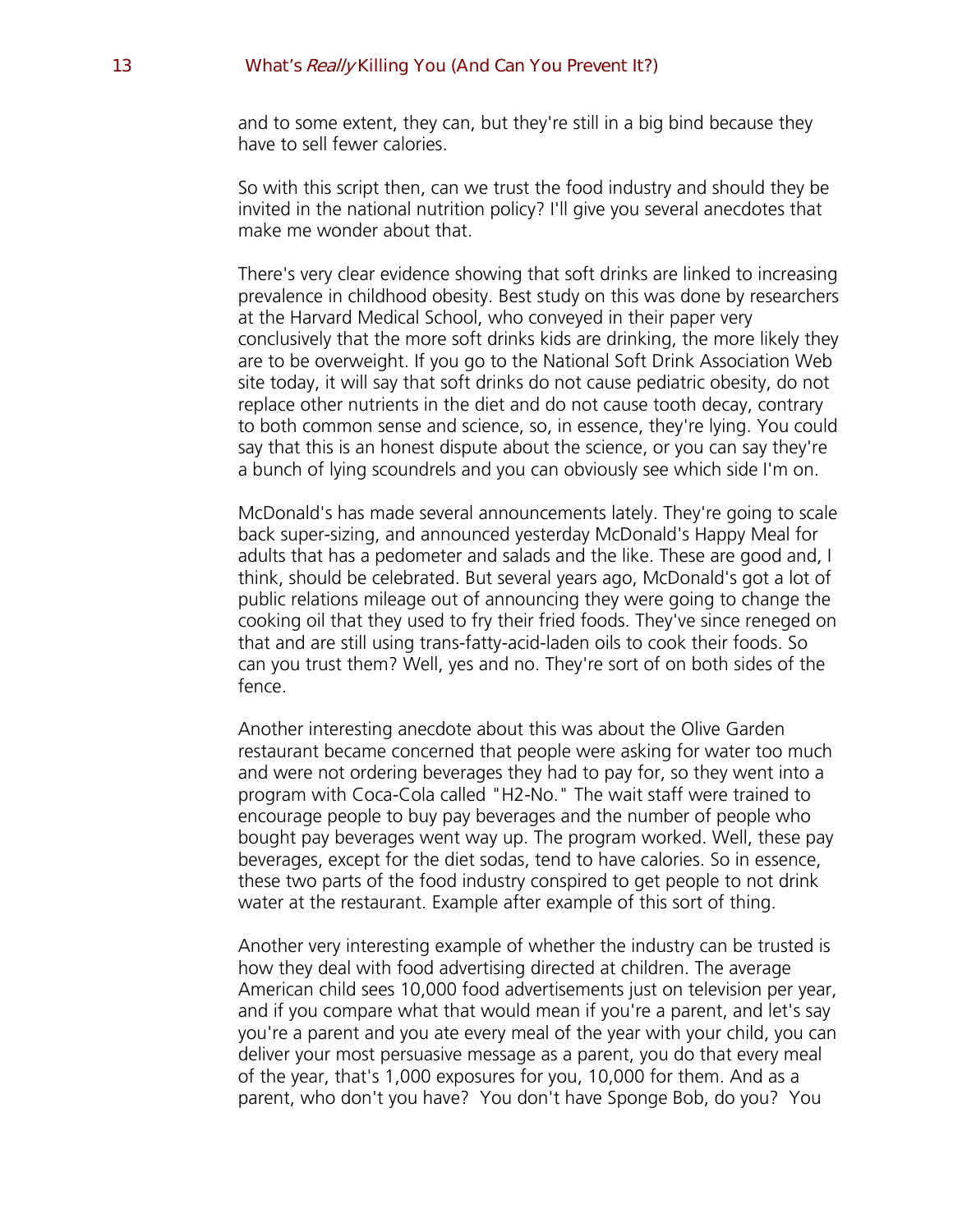and to some extent, they can, but they're still in a big bind because they have to sell fewer calories.

So with this script then, can we trust the food industry and should they be invited in the national nutrition policy? I'll give you several anecdotes that make me wonder about that.

There's very clear evidence showing that soft drinks are linked to increasing prevalence in childhood obesity. Best study on this was done by researchers at the Harvard Medical School, who conveyed in their paper very conclusively that the more soft drinks kids are drinking, the more likely they are to be overweight. If you go to the National Soft Drink Association Web site today, it will say that soft drinks do not cause pediatric obesity, do not replace other nutrients in the diet and do not cause tooth decay, contrary to both common sense and science, so, in essence, they're lying. You could say that this is an honest dispute about the science, or you can say they're a bunch of lying scoundrels and you can obviously see which side I'm on.

McDonald's has made several announcements lately. They're going to scale back super-sizing, and announced yesterday McDonald's Happy Meal for adults that has a pedometer and salads and the like. These are good and, I think, should be celebrated. But several years ago, McDonald's got a lot of public relations mileage out of announcing they were going to change the cooking oil that they used to fry their fried foods. They've since reneged on that and are still using trans-fatty-acid-laden oils to cook their foods. So can you trust them? Well, yes and no. They're sort of on both sides of the fence.

Another interesting anecdote about this was about the Olive Garden restaurant became concerned that people were asking for water too much and were not ordering beverages they had to pay for, so they went into a program with Coca-Cola called "H2-No." The wait staff were trained to encourage people to buy pay beverages and the number of people who bought pay beverages went way up. The program worked. Well, these pay beverages, except for the diet sodas, tend to have calories. So in essence, these two parts of the food industry conspired to get people to not drink water at the restaurant. Example after example of this sort of thing.

Another very interesting example of whether the industry can be trusted is how they deal with food advertising directed at children. The average American child sees 10,000 food advertisements just on television per year, and if you compare what that would mean if you're a parent, and let's say you're a parent and you ate every meal of the year with your child, you can deliver your most persuasive message as a parent, you do that every meal of the year, that's 1,000 exposures for you, 10,000 for them. And as a parent, who don't you have? You don't have Sponge Bob, do you? You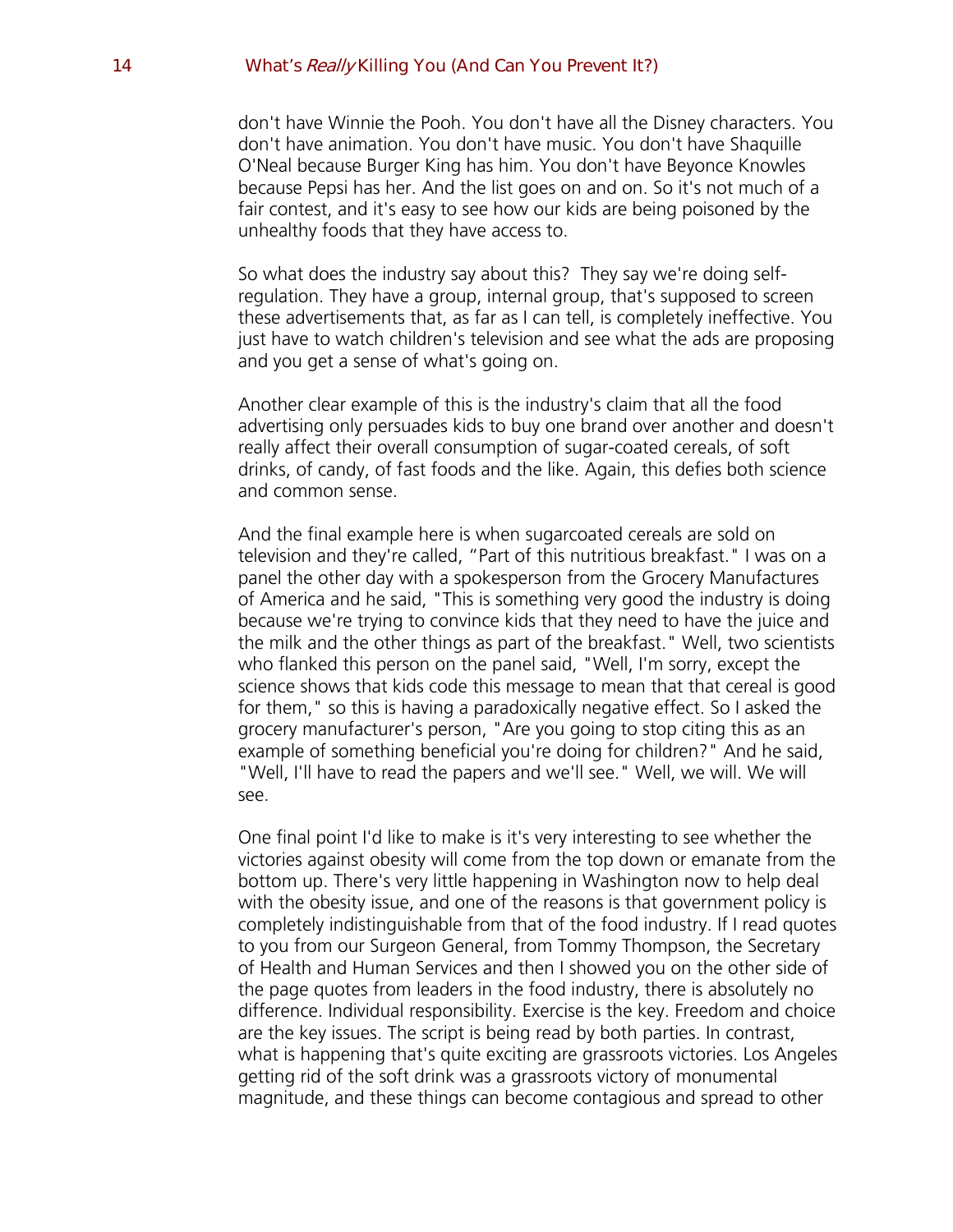don't have Winnie the Pooh. You don't have all the Disney characters. You don't have animation. You don't have music. You don't have Shaquille O'Neal because Burger King has him. You don't have Beyonce Knowles because Pepsi has her. And the list goes on and on. So it's not much of a fair contest, and it's easy to see how our kids are being poisoned by the unhealthy foods that they have access to.

So what does the industry say about this? They say we're doing selfregulation. They have a group, internal group, that's supposed to screen these advertisements that, as far as I can tell, is completely ineffective. You just have to watch children's television and see what the ads are proposing and you get a sense of what's going on.

Another clear example of this is the industry's claim that all the food advertising only persuades kids to buy one brand over another and doesn't really affect their overall consumption of sugar-coated cereals, of soft drinks, of candy, of fast foods and the like. Again, this defies both science and common sense.

And the final example here is when sugarcoated cereals are sold on television and they're called, "Part of this nutritious breakfast." I was on a panel the other day with a spokesperson from the Grocery Manufactures of America and he said, "This is something very good the industry is doing because we're trying to convince kids that they need to have the juice and the milk and the other things as part of the breakfast." Well, two scientists who flanked this person on the panel said, "Well, I'm sorry, except the science shows that kids code this message to mean that that cereal is good for them," so this is having a paradoxically negative effect. So I asked the grocery manufacturer's person, "Are you going to stop citing this as an example of something beneficial you're doing for children?" And he said, "Well, I'll have to read the papers and we'll see." Well, we will. We will see.

One final point I'd like to make is it's very interesting to see whether the victories against obesity will come from the top down or emanate from the bottom up. There's very little happening in Washington now to help deal with the obesity issue, and one of the reasons is that government policy is completely indistinguishable from that of the food industry. If I read quotes to you from our Surgeon General, from Tommy Thompson, the Secretary of Health and Human Services and then I showed you on the other side of the page quotes from leaders in the food industry, there is absolutely no difference. Individual responsibility. Exercise is the key. Freedom and choice are the key issues. The script is being read by both parties. In contrast, what is happening that's quite exciting are grassroots victories. Los Angeles getting rid of the soft drink was a grassroots victory of monumental magnitude, and these things can become contagious and spread to other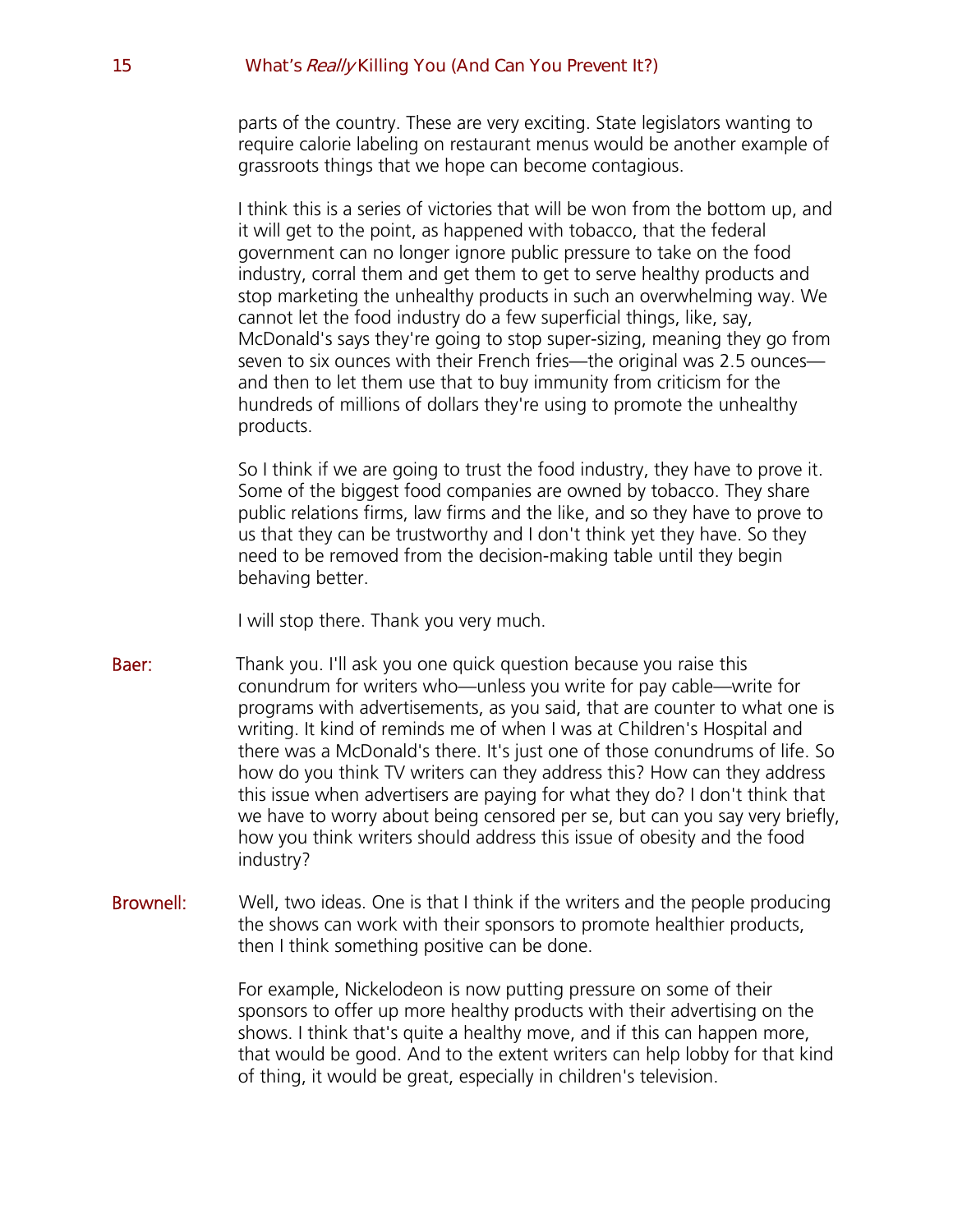parts of the country. These are very exciting. State legislators wanting to require calorie labeling on restaurant menus would be another example of grassroots things that we hope can become contagious.

I think this is a series of victories that will be won from the bottom up, and it will get to the point, as happened with tobacco, that the federal government can no longer ignore public pressure to take on the food industry, corral them and get them to get to serve healthy products and stop marketing the unhealthy products in such an overwhelming way. We cannot let the food industry do a few superficial things, like, say, McDonald's says they're going to stop super-sizing, meaning they go from seven to six ounces with their French fries—the original was 2.5 ounces and then to let them use that to buy immunity from criticism for the hundreds of millions of dollars they're using to promote the unhealthy products.

So I think if we are going to trust the food industry, they have to prove it. Some of the biggest food companies are owned by tobacco. They share public relations firms, law firms and the like, and so they have to prove to us that they can be trustworthy and I don't think yet they have. So they need to be removed from the decision-making table until they begin behaving better.

I will stop there. Thank you very much.

- Baer: Thank you. I'll ask you one quick question because you raise this conundrum for writers who—unless you write for pay cable—write for programs with advertisements, as you said, that are counter to what one is writing. It kind of reminds me of when I was at Children's Hospital and there was a McDonald's there. It's just one of those conundrums of life. So how do you think TV writers can they address this? How can they address this issue when advertisers are paying for what they do? I don't think that we have to worry about being censored per se, but can you say very briefly, how you think writers should address this issue of obesity and the food industry?
- **Brownell:** Well, two ideas. One is that I think if the writers and the people producing the shows can work with their sponsors to promote healthier products, then I think something positive can be done.

For example, Nickelodeon is now putting pressure on some of their sponsors to offer up more healthy products with their advertising on the shows. I think that's quite a healthy move, and if this can happen more, that would be good. And to the extent writers can help lobby for that kind of thing, it would be great, especially in children's television.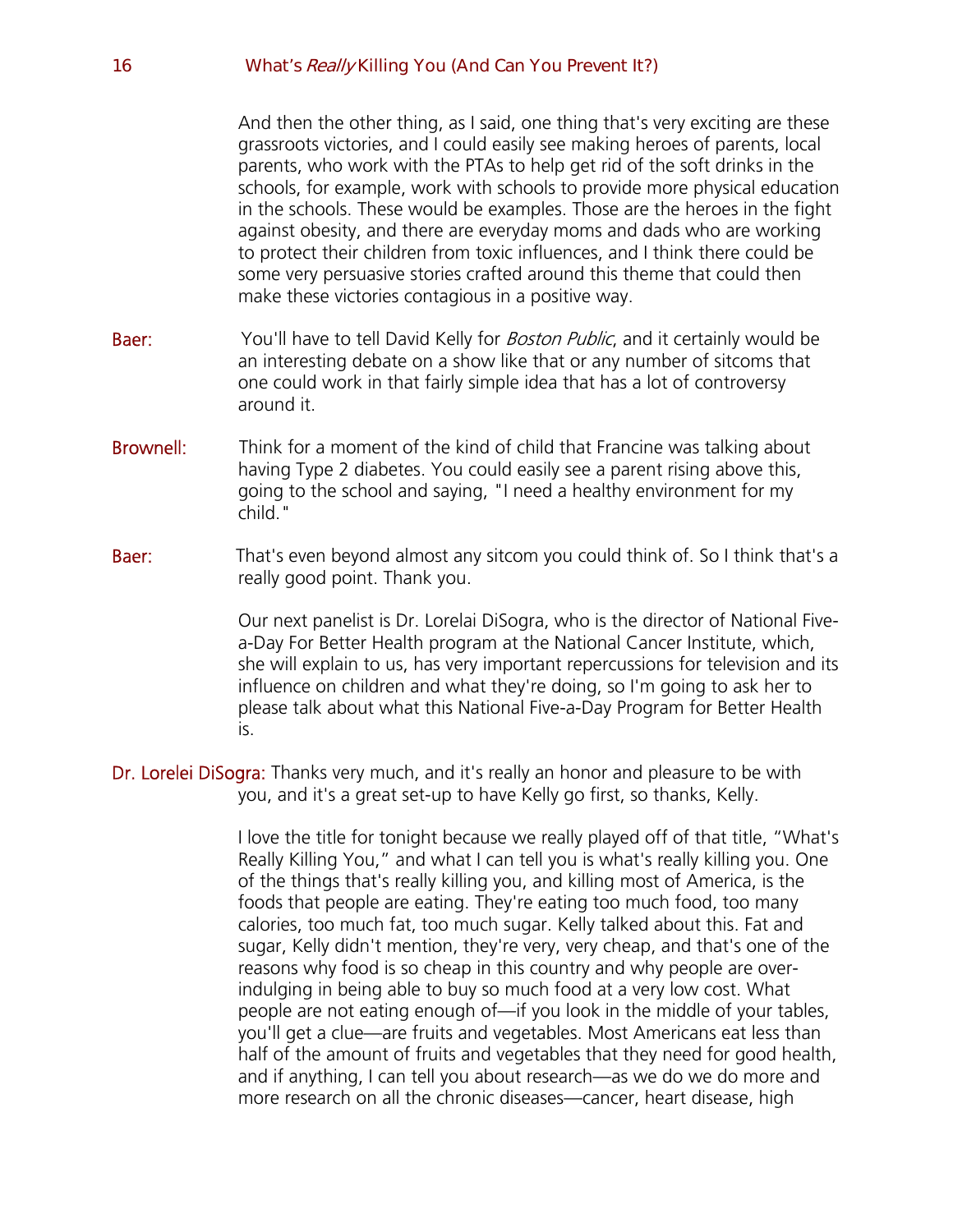And then the other thing, as I said, one thing that's very exciting are these grassroots victories, and I could easily see making heroes of parents, local parents, who work with the PTAs to help get rid of the soft drinks in the schools, for example, work with schools to provide more physical education in the schools. These would be examples. Those are the heroes in the fight against obesity, and there are everyday moms and dads who are working to protect their children from toxic influences, and I think there could be some very persuasive stories crafted around this theme that could then make these victories contagious in a positive way.

- Baer: You'll have to tell David Kelly for *Boston Public*, and it certainly would be an interesting debate on a show like that or any number of sitcoms that one could work in that fairly simple idea that has a lot of controversy around it.
- **Brownell:** Think for a moment of the kind of child that Francine was talking about having Type 2 diabetes. You could easily see a parent rising above this, going to the school and saying, "I need a healthy environment for my child."
- **Baer:** That's even beyond almost any sitcom you could think of. So I think that's a really good point. Thank you.

Our next panelist is Dr. Lorelai DiSogra, who is the director of National Fivea-Day For Better Health program at the National Cancer Institute, which, she will explain to us, has very important repercussions for television and its influence on children and what they're doing, so I'm going to ask her to please talk about what this National Five-a-Day Program for Better Health is.

Dr. Lorelei DiSogra: Thanks very much, and it's really an honor and pleasure to be with you, and it's a great set-up to have Kelly go first, so thanks, Kelly.

> I love the title for tonight because we really played off of that title, "What's Really Killing You," and what I can tell you is what's really killing you. One of the things that's really killing you, and killing most of America, is the foods that people are eating. They're eating too much food, too many calories, too much fat, too much sugar. Kelly talked about this. Fat and sugar, Kelly didn't mention, they're very, very cheap, and that's one of the reasons why food is so cheap in this country and why people are overindulging in being able to buy so much food at a very low cost. What people are not eating enough of—if you look in the middle of your tables, you'll get a clue—are fruits and vegetables. Most Americans eat less than half of the amount of fruits and vegetables that they need for good health, and if anything, I can tell you about research—as we do we do more and more research on all the chronic diseases—cancer, heart disease, high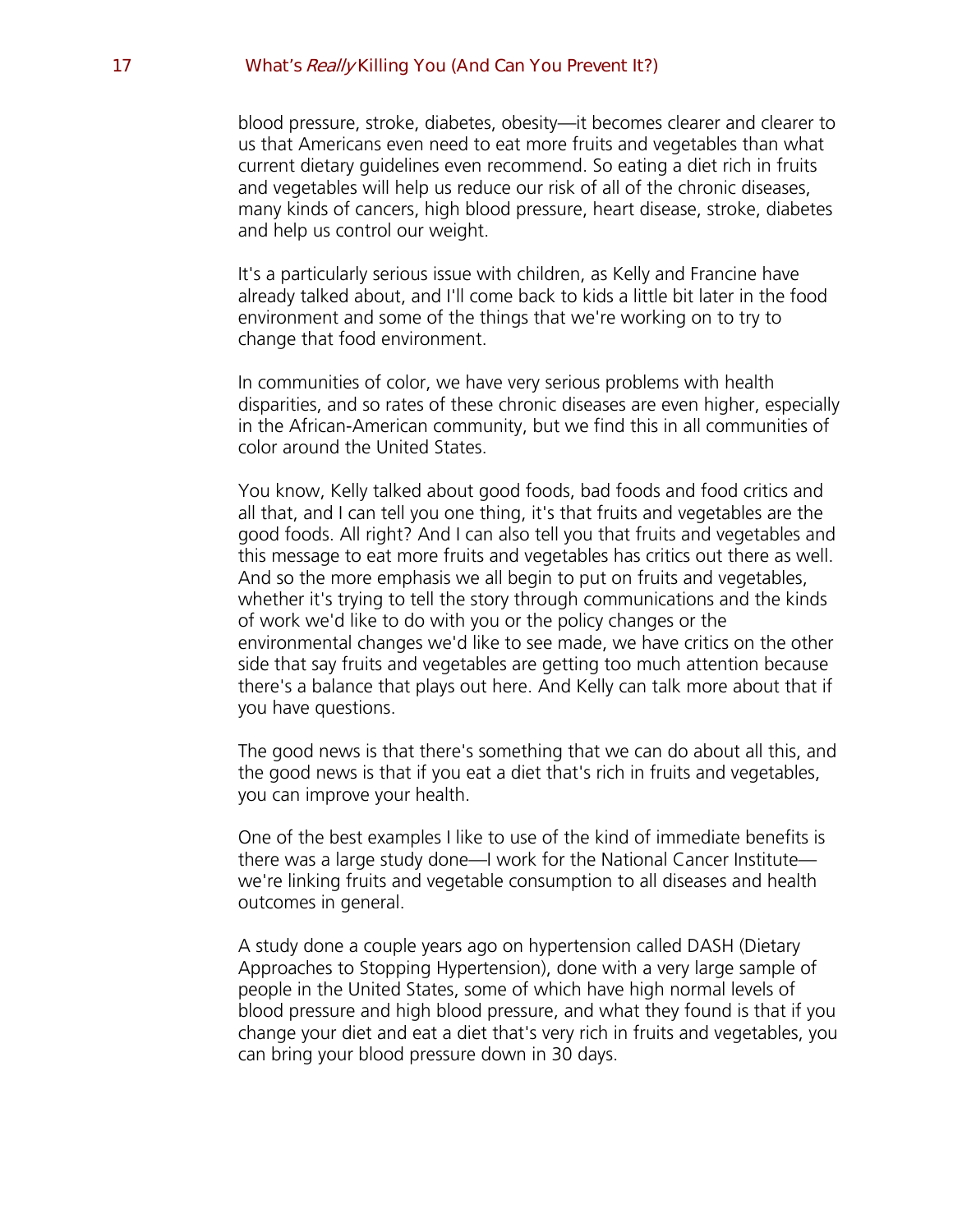blood pressure, stroke, diabetes, obesity—it becomes clearer and clearer to us that Americans even need to eat more fruits and vegetables than what current dietary guidelines even recommend. So eating a diet rich in fruits and vegetables will help us reduce our risk of all of the chronic diseases, many kinds of cancers, high blood pressure, heart disease, stroke, diabetes and help us control our weight.

It's a particularly serious issue with children, as Kelly and Francine have already talked about, and I'll come back to kids a little bit later in the food environment and some of the things that we're working on to try to change that food environment.

In communities of color, we have very serious problems with health disparities, and so rates of these chronic diseases are even higher, especially in the African-American community, but we find this in all communities of color around the United States.

You know, Kelly talked about good foods, bad foods and food critics and all that, and I can tell you one thing, it's that fruits and vegetables are the good foods. All right? And I can also tell you that fruits and vegetables and this message to eat more fruits and vegetables has critics out there as well. And so the more emphasis we all begin to put on fruits and vegetables, whether it's trying to tell the story through communications and the kinds of work we'd like to do with you or the policy changes or the environmental changes we'd like to see made, we have critics on the other side that say fruits and vegetables are getting too much attention because there's a balance that plays out here. And Kelly can talk more about that if you have questions.

The good news is that there's something that we can do about all this, and the good news is that if you eat a diet that's rich in fruits and vegetables, you can improve your health.

One of the best examples I like to use of the kind of immediate benefits is there was a large study done—I work for the National Cancer Institute we're linking fruits and vegetable consumption to all diseases and health outcomes in general.

A study done a couple years ago on hypertension called DASH (Dietary Approaches to Stopping Hypertension), done with a very large sample of people in the United States, some of which have high normal levels of blood pressure and high blood pressure, and what they found is that if you change your diet and eat a diet that's very rich in fruits and vegetables, you can bring your blood pressure down in 30 days.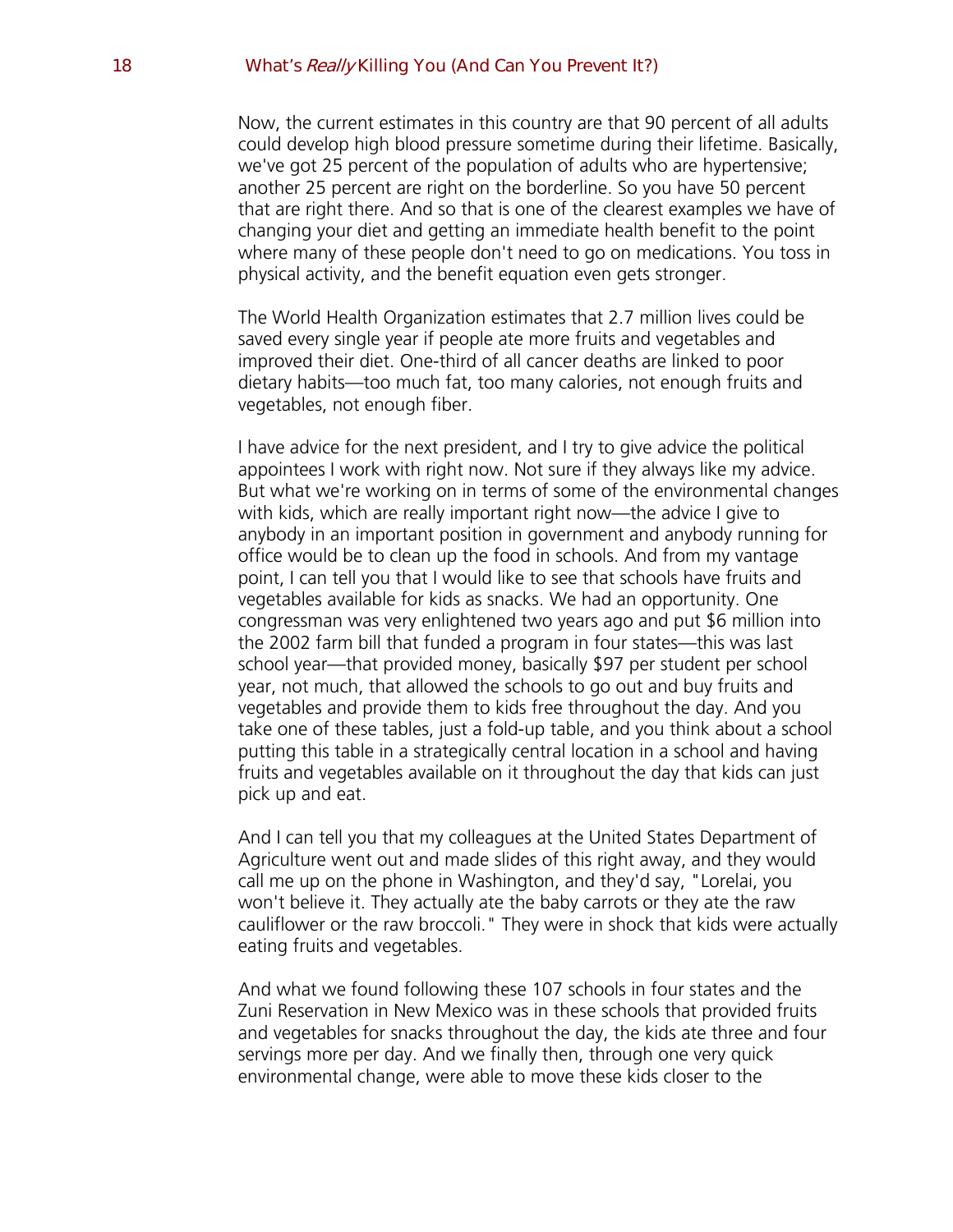Now, the current estimates in this country are that 90 percent of all adults could develop high blood pressure sometime during their lifetime. Basically, we've got 25 percent of the population of adults who are hypertensive; another 25 percent are right on the borderline. So you have 50 percent that are right there. And so that is one of the clearest examples we have of changing your diet and getting an immediate health benefit to the point where many of these people don't need to go on medications. You toss in physical activity, and the benefit equation even gets stronger.

The World Health Organization estimates that 2.7 million lives could be saved every single year if people ate more fruits and vegetables and improved their diet. One-third of all cancer deaths are linked to poor dietary habits—too much fat, too many calories, not enough fruits and vegetables, not enough fiber.

I have advice for the next president, and I try to give advice the political appointees I work with right now. Not sure if they always like my advice. But what we're working on in terms of some of the environmental changes with kids, which are really important right now—the advice I give to anybody in an important position in government and anybody running for office would be to clean up the food in schools. And from my vantage point, I can tell you that I would like to see that schools have fruits and vegetables available for kids as snacks. We had an opportunity. One congressman was very enlightened two years ago and put \$6 million into the 2002 farm bill that funded a program in four states—this was last school year—that provided money, basically \$97 per student per school year, not much, that allowed the schools to go out and buy fruits and vegetables and provide them to kids free throughout the day. And you take one of these tables, just a fold-up table, and you think about a school putting this table in a strategically central location in a school and having fruits and vegetables available on it throughout the day that kids can just pick up and eat.

And I can tell you that my colleagues at the United States Department of Agriculture went out and made slides of this right away, and they would call me up on the phone in Washington, and they'd say, "Lorelai, you won't believe it. They actually ate the baby carrots or they ate the raw cauliflower or the raw broccoli." They were in shock that kids were actually eating fruits and vegetables.

And what we found following these 107 schools in four states and the Zuni Reservation in New Mexico was in these schools that provided fruits and vegetables for snacks throughout the day, the kids ate three and four servings more per day. And we finally then, through one very quick environmental change, were able to move these kids closer to the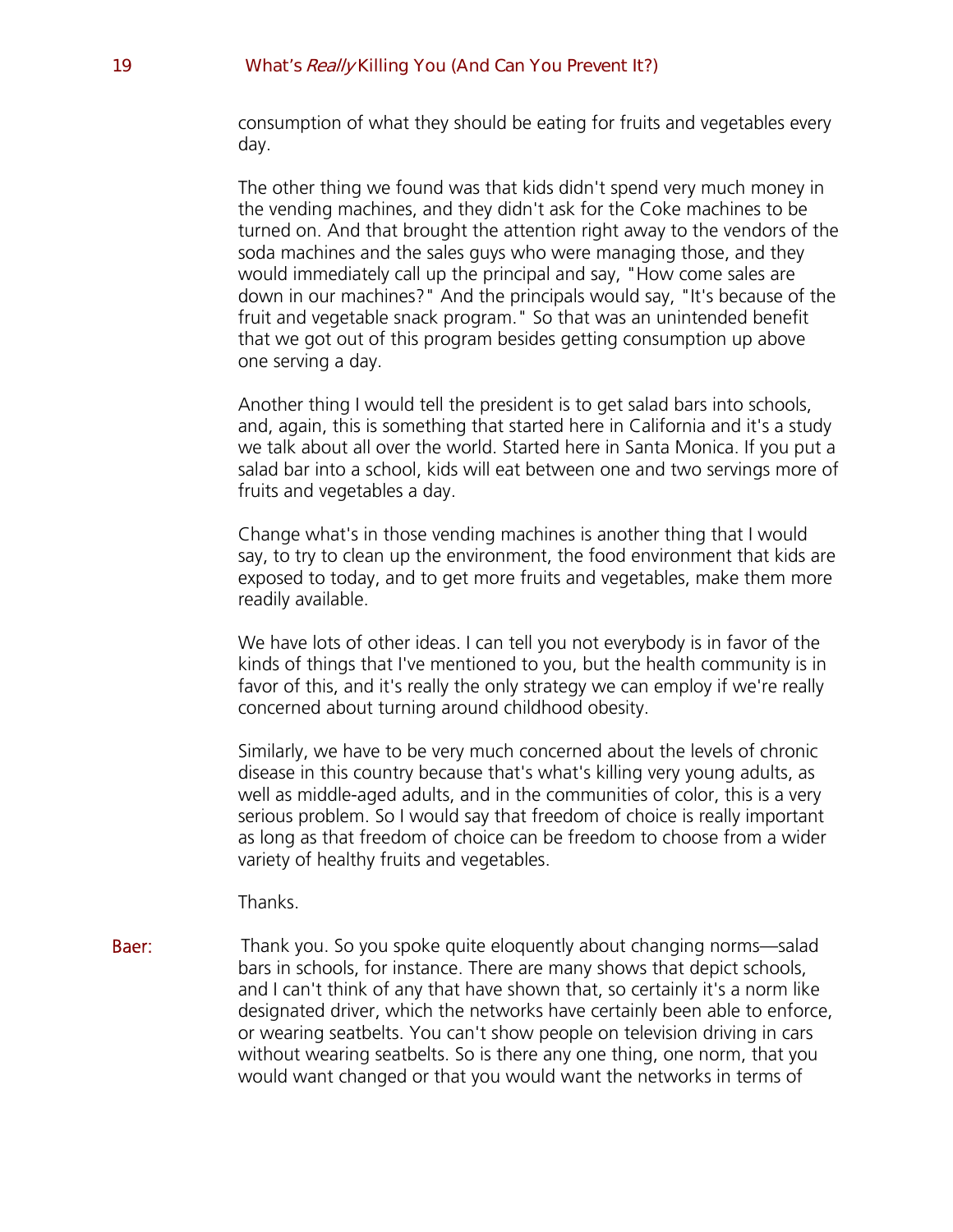consumption of what they should be eating for fruits and vegetables every day.

The other thing we found was that kids didn't spend very much money in the vending machines, and they didn't ask for the Coke machines to be turned on. And that brought the attention right away to the vendors of the soda machines and the sales guys who were managing those, and they would immediately call up the principal and say, "How come sales are down in our machines?" And the principals would say, "It's because of the fruit and vegetable snack program." So that was an unintended benefit that we got out of this program besides getting consumption up above one serving a day.

Another thing I would tell the president is to get salad bars into schools, and, again, this is something that started here in California and it's a study we talk about all over the world. Started here in Santa Monica. If you put a salad bar into a school, kids will eat between one and two servings more of fruits and vegetables a day.

Change what's in those vending machines is another thing that I would say, to try to clean up the environment, the food environment that kids are exposed to today, and to get more fruits and vegetables, make them more readily available.

We have lots of other ideas. I can tell you not everybody is in favor of the kinds of things that I've mentioned to you, but the health community is in favor of this, and it's really the only strategy we can employ if we're really concerned about turning around childhood obesity.

Similarly, we have to be very much concerned about the levels of chronic disease in this country because that's what's killing very young adults, as well as middle-aged adults, and in the communities of color, this is a very serious problem. So I would say that freedom of choice is really important as long as that freedom of choice can be freedom to choose from a wider variety of healthy fruits and vegetables.

Thanks.

**Baer:** Thank you. So you spoke quite eloquently about changing norms—salad bars in schools, for instance. There are many shows that depict schools, and I can't think of any that have shown that, so certainly it's a norm like designated driver, which the networks have certainly been able to enforce, or wearing seatbelts. You can't show people on television driving in cars without wearing seatbelts. So is there any one thing, one norm, that you would want changed or that you would want the networks in terms of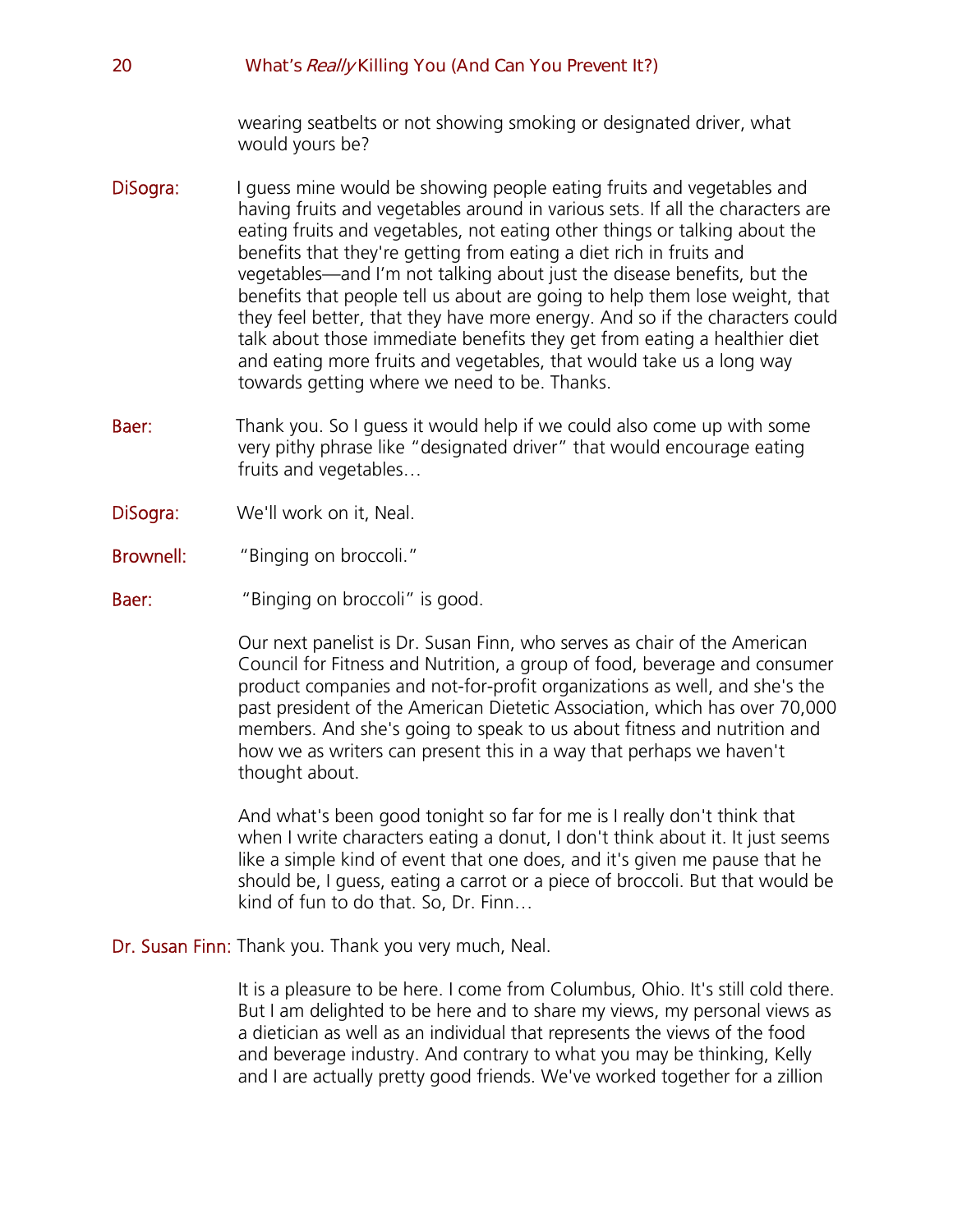wearing seatbelts or not showing smoking or designated driver, what would yours be?

- **DiSogra:** I guess mine would be showing people eating fruits and vegetables and having fruits and vegetables around in various sets. If all the characters are eating fruits and vegetables, not eating other things or talking about the benefits that they're getting from eating a diet rich in fruits and vegetables—and I'm not talking about just the disease benefits, but the benefits that people tell us about are going to help them lose weight, that they feel better, that they have more energy. And so if the characters could talk about those immediate benefits they get from eating a healthier diet and eating more fruits and vegetables, that would take us a long way towards getting where we need to be. Thanks.
- Baer: Thank you. So I guess it would help if we could also come up with some very pithy phrase like "designated driver" that would encourage eating fruits and vegetables…
- DiSogra: We'll work on it, Neal.
- Brownell: "Binging on broccoli."
- **Baer:** "Binging on broccoli" is good.

Our next panelist is Dr. Susan Finn, who serves as chair of the American Council for Fitness and Nutrition, a group of food, beverage and consumer product companies and not-for-profit organizations as well, and she's the past president of the American Dietetic Association, which has over 70,000 members. And she's going to speak to us about fitness and nutrition and how we as writers can present this in a way that perhaps we haven't thought about.

And what's been good tonight so far for me is I really don't think that when I write characters eating a donut, I don't think about it. It just seems like a simple kind of event that one does, and it's given me pause that he should be, I guess, eating a carrot or a piece of broccoli. But that would be kind of fun to do that. So, Dr. Finn…

Dr. Susan Finn: Thank you. Thank you very much, Neal.

It is a pleasure to be here. I come from Columbus, Ohio. It's still cold there. But I am delighted to be here and to share my views, my personal views as a dietician as well as an individual that represents the views of the food and beverage industry. And contrary to what you may be thinking, Kelly and I are actually pretty good friends. We've worked together for a zillion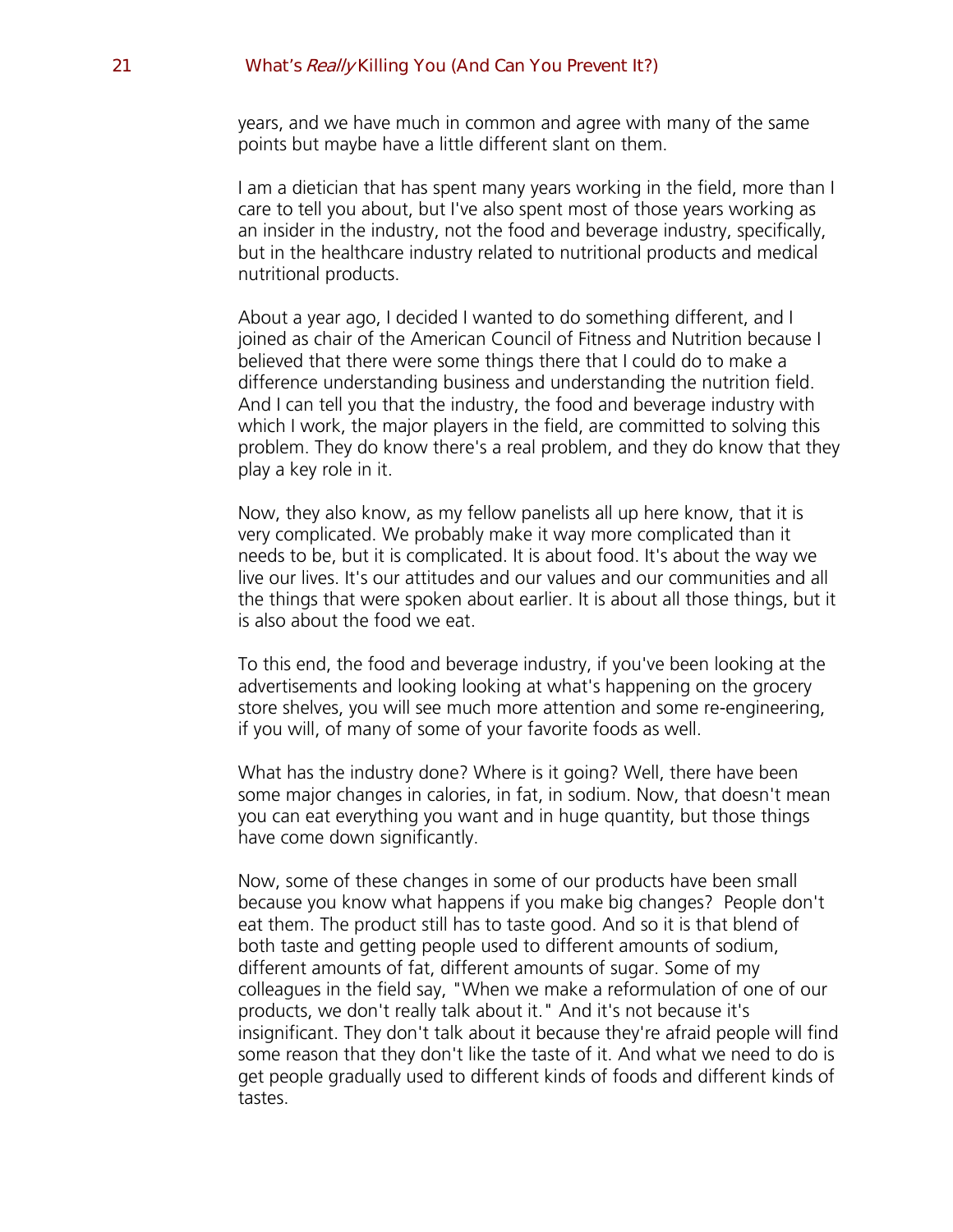years, and we have much in common and agree with many of the same points but maybe have a little different slant on them.

I am a dietician that has spent many years working in the field, more than I care to tell you about, but I've also spent most of those years working as an insider in the industry, not the food and beverage industry, specifically, but in the healthcare industry related to nutritional products and medical nutritional products.

About a year ago, I decided I wanted to do something different, and I joined as chair of the American Council of Fitness and Nutrition because I believed that there were some things there that I could do to make a difference understanding business and understanding the nutrition field. And I can tell you that the industry, the food and beverage industry with which I work, the major players in the field, are committed to solving this problem. They do know there's a real problem, and they do know that they play a key role in it.

Now, they also know, as my fellow panelists all up here know, that it is very complicated. We probably make it way more complicated than it needs to be, but it is complicated. It is about food. It's about the way we live our lives. It's our attitudes and our values and our communities and all the things that were spoken about earlier. It is about all those things, but it is also about the food we eat.

To this end, the food and beverage industry, if you've been looking at the advertisements and looking looking at what's happening on the grocery store shelves, you will see much more attention and some re-engineering, if you will, of many of some of your favorite foods as well.

What has the industry done? Where is it going? Well, there have been some major changes in calories, in fat, in sodium. Now, that doesn't mean you can eat everything you want and in huge quantity, but those things have come down significantly.

Now, some of these changes in some of our products have been small because you know what happens if you make big changes? People don't eat them. The product still has to taste good. And so it is that blend of both taste and getting people used to different amounts of sodium, different amounts of fat, different amounts of sugar. Some of my colleagues in the field say, "When we make a reformulation of one of our products, we don't really talk about it." And it's not because it's insignificant. They don't talk about it because they're afraid people will find some reason that they don't like the taste of it. And what we need to do is get people gradually used to different kinds of foods and different kinds of tastes.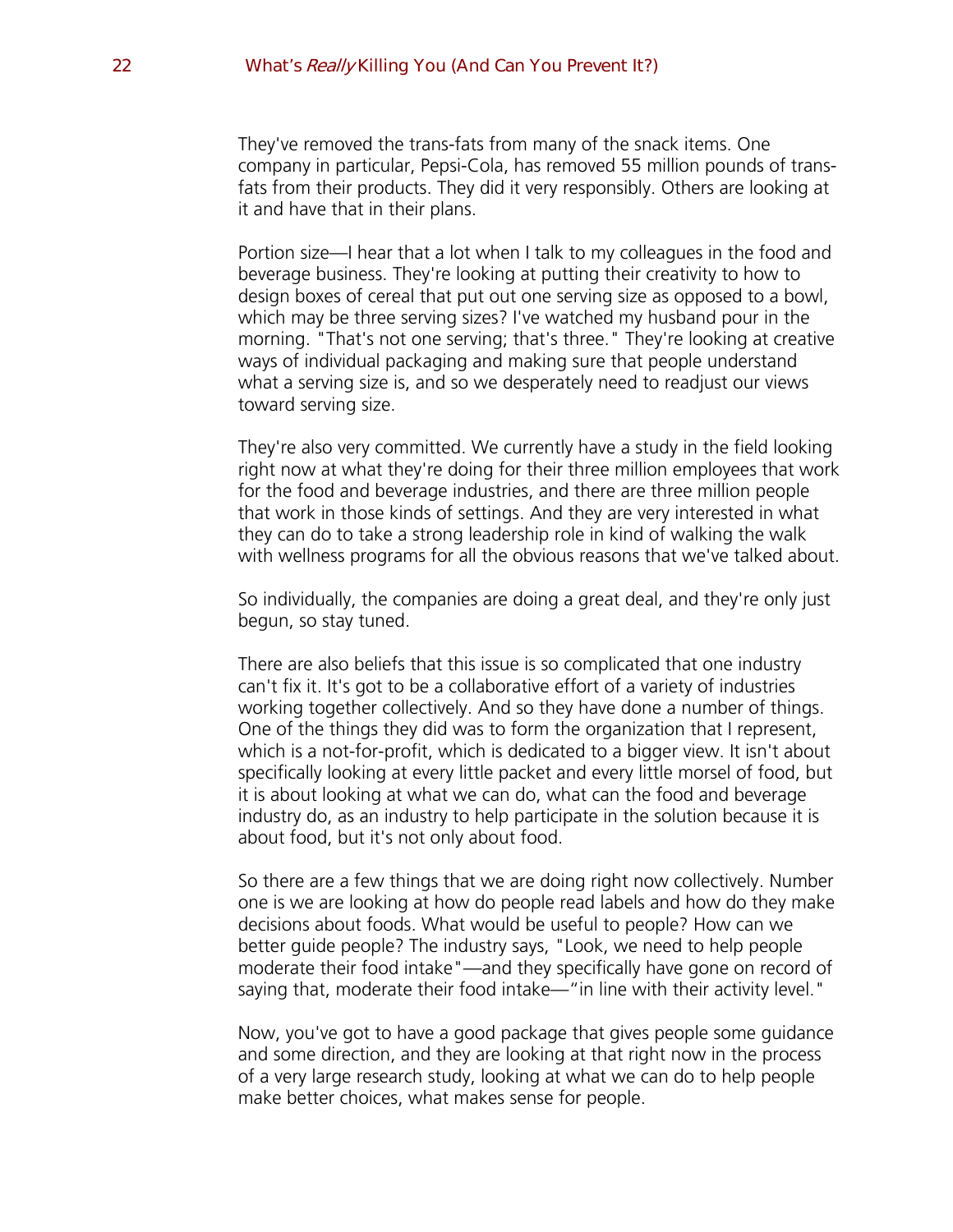They've removed the trans-fats from many of the snack items. One company in particular, Pepsi-Cola, has removed 55 million pounds of transfats from their products. They did it very responsibly. Others are looking at it and have that in their plans.

Portion size—I hear that a lot when I talk to my colleagues in the food and beverage business. They're looking at putting their creativity to how to design boxes of cereal that put out one serving size as opposed to a bowl, which may be three serving sizes? I've watched my husband pour in the morning. "That's not one serving; that's three." They're looking at creative ways of individual packaging and making sure that people understand what a serving size is, and so we desperately need to readjust our views toward serving size.

They're also very committed. We currently have a study in the field looking right now at what they're doing for their three million employees that work for the food and beverage industries, and there are three million people that work in those kinds of settings. And they are very interested in what they can do to take a strong leadership role in kind of walking the walk with wellness programs for all the obvious reasons that we've talked about.

So individually, the companies are doing a great deal, and they're only just begun, so stay tuned.

There are also beliefs that this issue is so complicated that one industry can't fix it. It's got to be a collaborative effort of a variety of industries working together collectively. And so they have done a number of things. One of the things they did was to form the organization that I represent, which is a not-for-profit, which is dedicated to a bigger view. It isn't about specifically looking at every little packet and every little morsel of food, but it is about looking at what we can do, what can the food and beverage industry do, as an industry to help participate in the solution because it is about food, but it's not only about food.

So there are a few things that we are doing right now collectively. Number one is we are looking at how do people read labels and how do they make decisions about foods. What would be useful to people? How can we better guide people? The industry says, "Look, we need to help people moderate their food intake"—and they specifically have gone on record of saying that, moderate their food intake—"in line with their activity level."

Now, you've got to have a good package that gives people some guidance and some direction, and they are looking at that right now in the process of a very large research study, looking at what we can do to help people make better choices, what makes sense for people.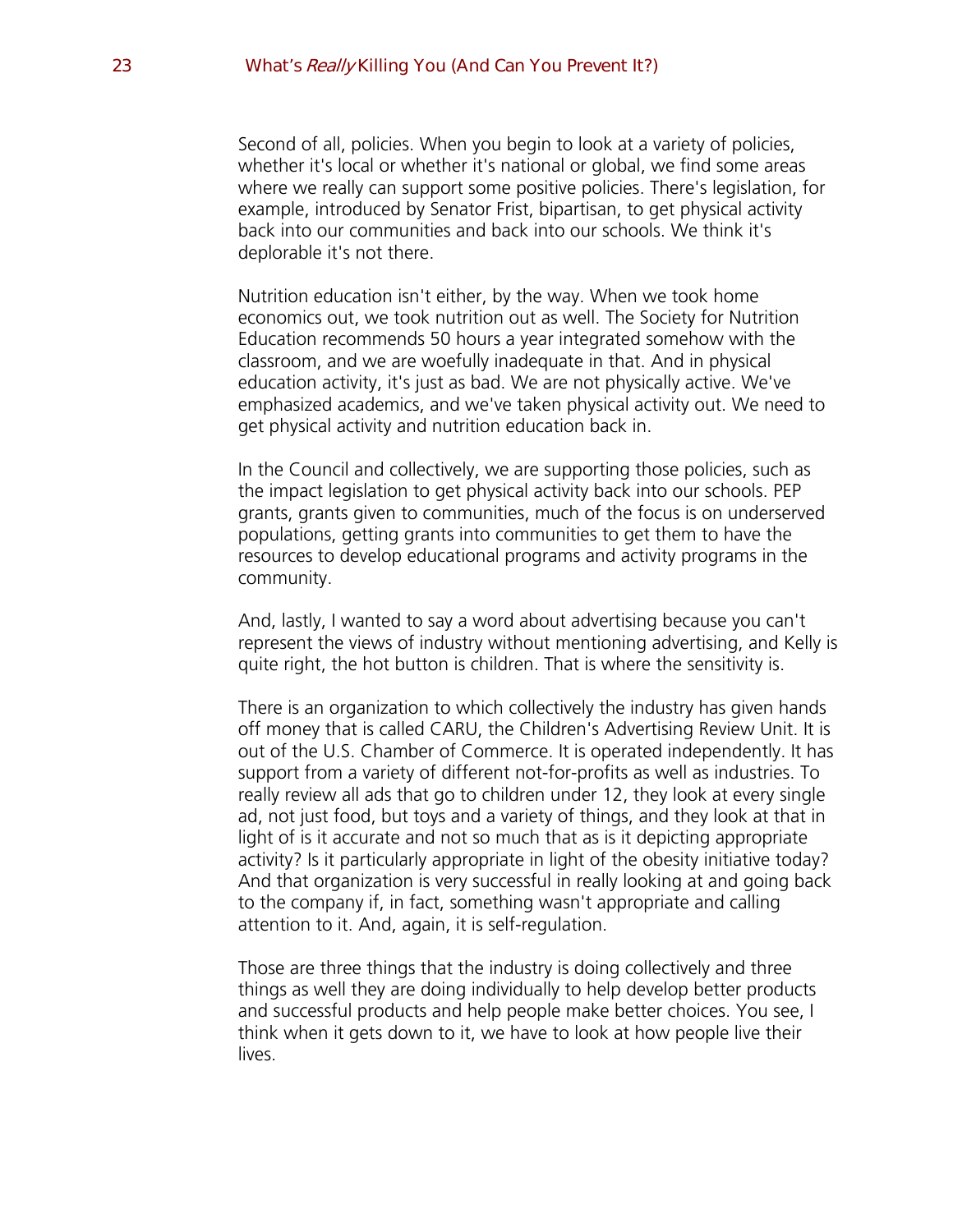Second of all, policies. When you begin to look at a variety of policies, whether it's local or whether it's national or global, we find some areas where we really can support some positive policies. There's legislation, for example, introduced by Senator Frist, bipartisan, to get physical activity back into our communities and back into our schools. We think it's deplorable it's not there.

Nutrition education isn't either, by the way. When we took home economics out, we took nutrition out as well. The Society for Nutrition Education recommends 50 hours a year integrated somehow with the classroom, and we are woefully inadequate in that. And in physical education activity, it's just as bad. We are not physically active. We've emphasized academics, and we've taken physical activity out. We need to get physical activity and nutrition education back in.

In the Council and collectively, we are supporting those policies, such as the impact legislation to get physical activity back into our schools. PEP grants, grants given to communities, much of the focus is on underserved populations, getting grants into communities to get them to have the resources to develop educational programs and activity programs in the community.

And, lastly, I wanted to say a word about advertising because you can't represent the views of industry without mentioning advertising, and Kelly is quite right, the hot button is children. That is where the sensitivity is.

There is an organization to which collectively the industry has given hands off money that is called CARU, the Children's Advertising Review Unit. It is out of the U.S. Chamber of Commerce. It is operated independently. It has support from a variety of different not-for-profits as well as industries. To really review all ads that go to children under 12, they look at every single ad, not just food, but toys and a variety of things, and they look at that in light of is it accurate and not so much that as is it depicting appropriate activity? Is it particularly appropriate in light of the obesity initiative today? And that organization is very successful in really looking at and going back to the company if, in fact, something wasn't appropriate and calling attention to it. And, again, it is self-regulation.

Those are three things that the industry is doing collectively and three things as well they are doing individually to help develop better products and successful products and help people make better choices. You see, I think when it gets down to it, we have to look at how people live their lives.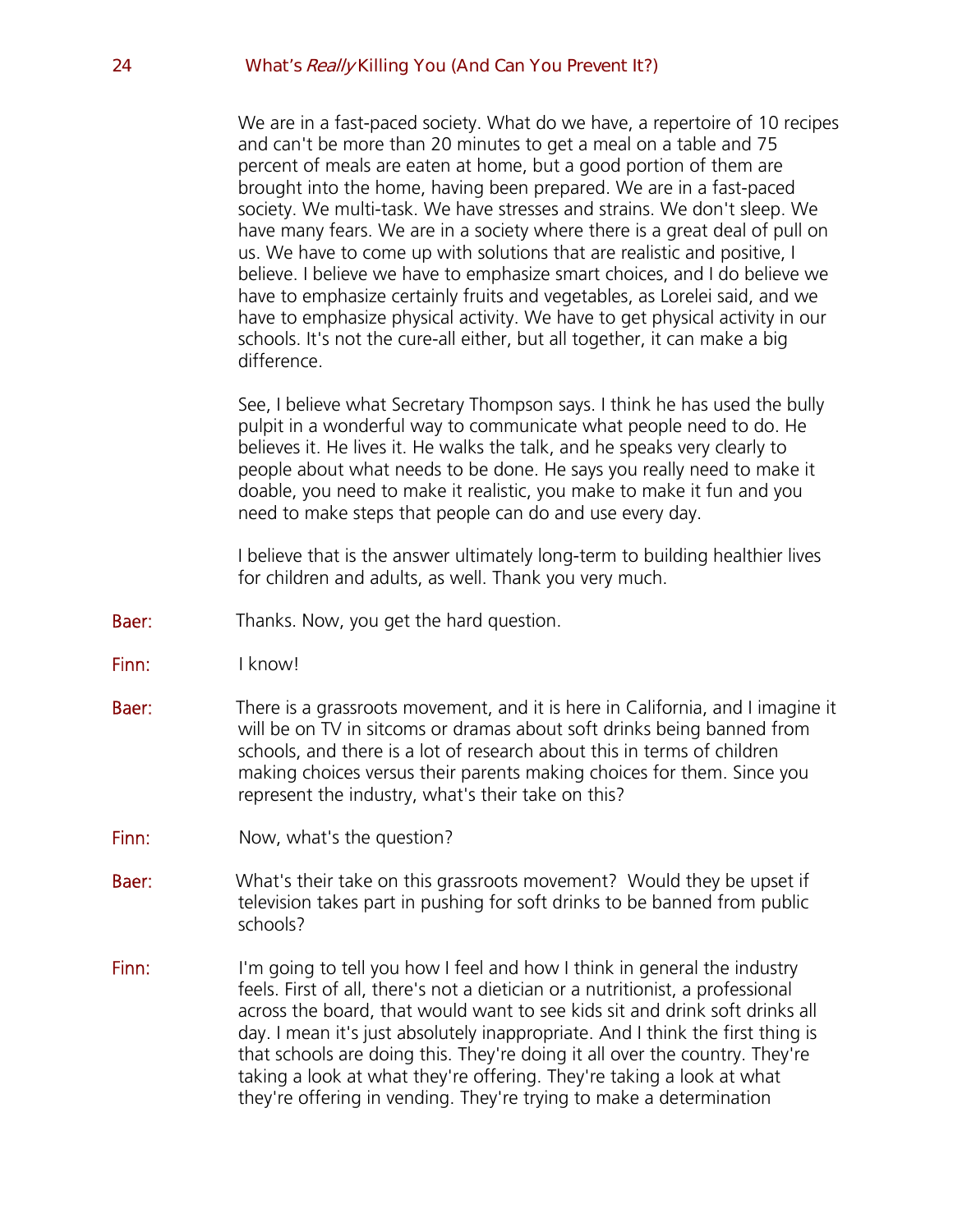We are in a fast-paced society. What do we have, a repertoire of 10 recipes and can't be more than 20 minutes to get a meal on a table and 75 percent of meals are eaten at home, but a good portion of them are brought into the home, having been prepared. We are in a fast-paced society. We multi-task. We have stresses and strains. We don't sleep. We have many fears. We are in a society where there is a great deal of pull on us. We have to come up with solutions that are realistic and positive, I believe. I believe we have to emphasize smart choices, and I do believe we have to emphasize certainly fruits and vegetables, as Lorelei said, and we have to emphasize physical activity. We have to get physical activity in our schools. It's not the cure-all either, but all together, it can make a big difference.

See, I believe what Secretary Thompson says. I think he has used the bully pulpit in a wonderful way to communicate what people need to do. He believes it. He lives it. He walks the talk, and he speaks very clearly to people about what needs to be done. He says you really need to make it doable, you need to make it realistic, you make to make it fun and you need to make steps that people can do and use every day.

I believe that is the answer ultimately long-term to building healthier lives for children and adults, as well. Thank you very much.

- **Baer:** Thanks. Now, you get the hard question.
- Finn: I know!
- **Baer:** There is a grassroots movement, and it is here in California, and I imagine it will be on TV in sitcoms or dramas about soft drinks being banned from schools, and there is a lot of research about this in terms of children making choices versus their parents making choices for them. Since you represent the industry, what's their take on this?
- Finn: Now, what's the question?
- **Baer:** What's their take on this grassroots movement? Would they be upset if television takes part in pushing for soft drinks to be banned from public schools?
- Finn: I'm going to tell you how I feel and how I think in general the industry feels. First of all, there's not a dietician or a nutritionist, a professional across the board, that would want to see kids sit and drink soft drinks all day. I mean it's just absolutely inappropriate. And I think the first thing is that schools are doing this. They're doing it all over the country. They're taking a look at what they're offering. They're taking a look at what they're offering in vending. They're trying to make a determination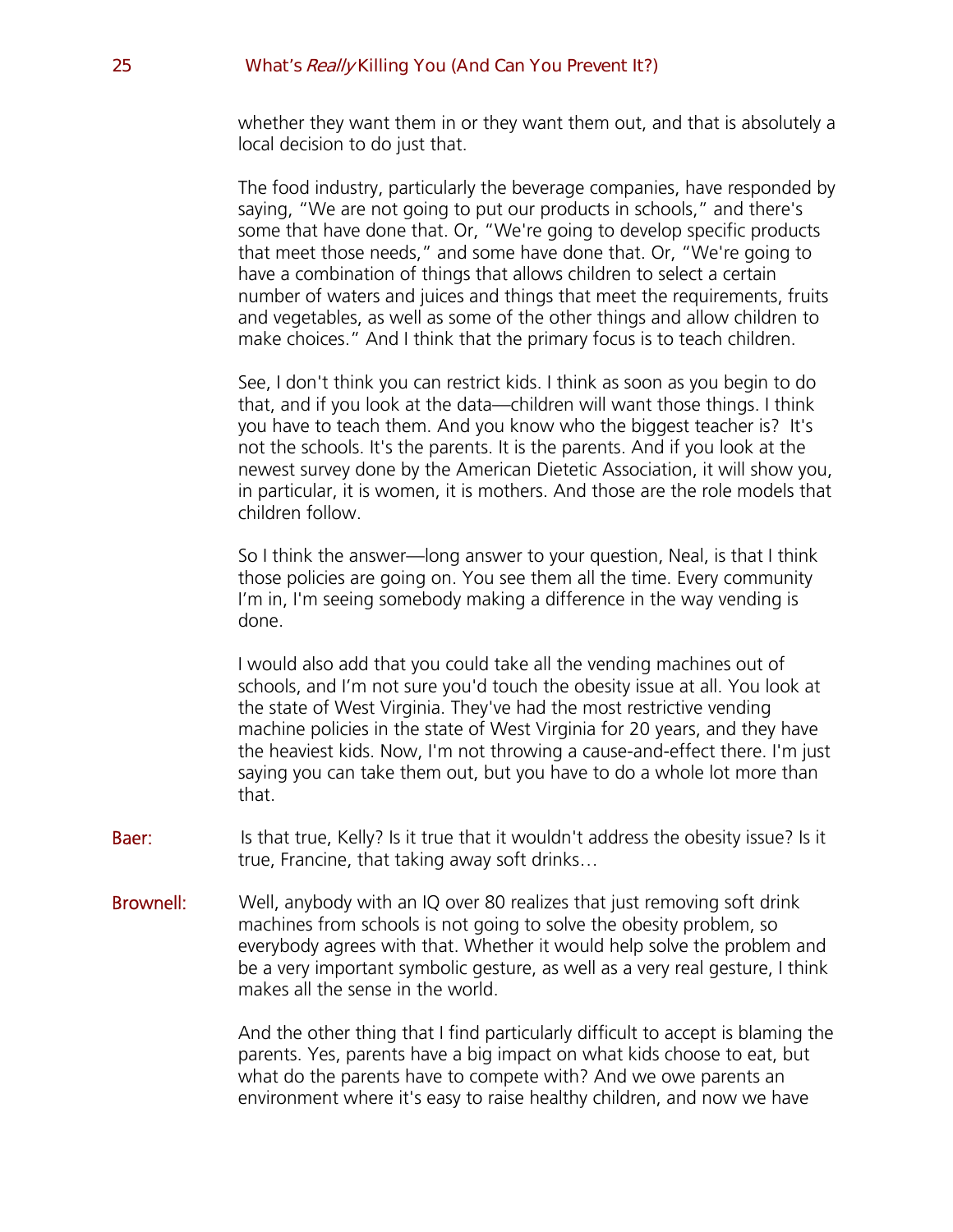whether they want them in or they want them out, and that is absolutely a local decision to do just that.

The food industry, particularly the beverage companies, have responded by saying, "We are not going to put our products in schools," and there's some that have done that. Or, "We're going to develop specific products that meet those needs," and some have done that. Or, "We're going to have a combination of things that allows children to select a certain number of waters and juices and things that meet the requirements, fruits and vegetables, as well as some of the other things and allow children to make choices." And I think that the primary focus is to teach children.

See, I don't think you can restrict kids. I think as soon as you begin to do that, and if you look at the data—children will want those things. I think you have to teach them. And you know who the biggest teacher is? It's not the schools. It's the parents. It is the parents. And if you look at the newest survey done by the American Dietetic Association, it will show you, in particular, it is women, it is mothers. And those are the role models that children follow.

So I think the answer—long answer to your question, Neal, is that I think those policies are going on. You see them all the time. Every community I'm in, I'm seeing somebody making a difference in the way vending is done.

I would also add that you could take all the vending machines out of schools, and I'm not sure you'd touch the obesity issue at all. You look at the state of West Virginia. They've had the most restrictive vending machine policies in the state of West Virginia for 20 years, and they have the heaviest kids. Now, I'm not throwing a cause-and-effect there. I'm just saying you can take them out, but you have to do a whole lot more than that.

- Baer: Is that true, Kelly? Is it true that it wouldn't address the obesity issue? Is it true, Francine, that taking away soft drinks…
- Brownell: Well, anybody with an IQ over 80 realizes that just removing soft drink machines from schools is not going to solve the obesity problem, so everybody agrees with that. Whether it would help solve the problem and be a very important symbolic gesture, as well as a very real gesture, I think makes all the sense in the world.

And the other thing that I find particularly difficult to accept is blaming the parents. Yes, parents have a big impact on what kids choose to eat, but what do the parents have to compete with? And we owe parents an environment where it's easy to raise healthy children, and now we have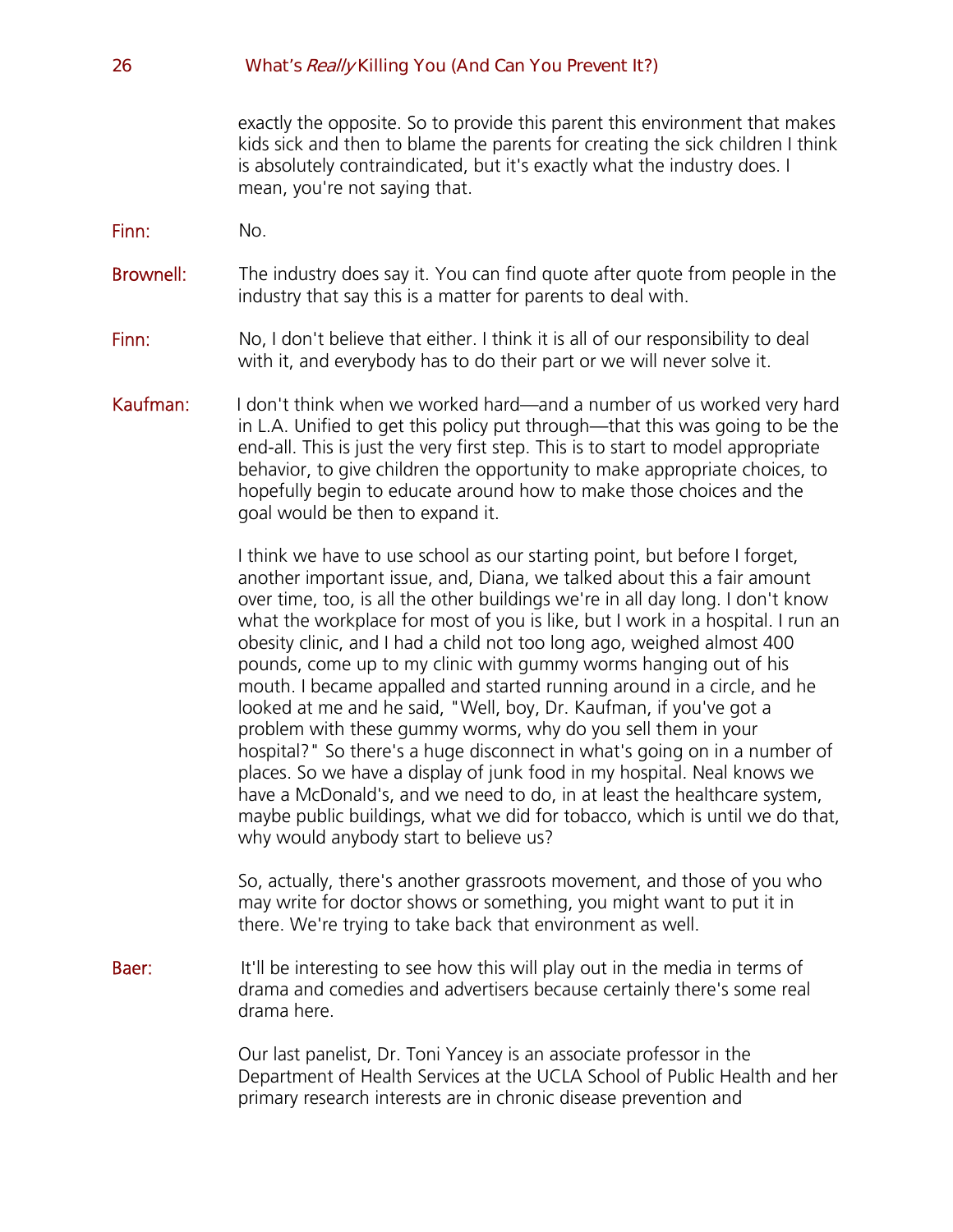exactly the opposite. So to provide this parent this environment that makes kids sick and then to blame the parents for creating the sick children I think is absolutely contraindicated, but it's exactly what the industry does. I mean, you're not saying that.

- Finn: No.
- **Brownell:** The industry does say it. You can find quote after quote from people in the industry that say this is a matter for parents to deal with.
- Finn: No, I don't believe that either. I think it is all of our responsibility to deal with it, and everybody has to do their part or we will never solve it.
- Kaufman: I don't think when we worked hard—and a number of us worked very hard in L.A. Unified to get this policy put through—that this was going to be the end-all. This is just the very first step. This is to start to model appropriate behavior, to give children the opportunity to make appropriate choices, to hopefully begin to educate around how to make those choices and the goal would be then to expand it.

I think we have to use school as our starting point, but before I forget, another important issue, and, Diana, we talked about this a fair amount over time, too, is all the other buildings we're in all day long. I don't know what the workplace for most of you is like, but I work in a hospital. I run an obesity clinic, and I had a child not too long ago, weighed almost 400 pounds, come up to my clinic with gummy worms hanging out of his mouth. I became appalled and started running around in a circle, and he looked at me and he said, "Well, boy, Dr. Kaufman, if you've got a problem with these gummy worms, why do you sell them in your hospital?" So there's a huge disconnect in what's going on in a number of places. So we have a display of junk food in my hospital. Neal knows we have a McDonald's, and we need to do, in at least the healthcare system, maybe public buildings, what we did for tobacco, which is until we do that, why would anybody start to believe us?

So, actually, there's another grassroots movement, and those of you who may write for doctor shows or something, you might want to put it in there. We're trying to take back that environment as well.

**Baer:** It'll be interesting to see how this will play out in the media in terms of drama and comedies and advertisers because certainly there's some real drama here.

> Our last panelist, Dr. Toni Yancey is an associate professor in the Department of Health Services at the UCLA School of Public Health and her primary research interests are in chronic disease prevention and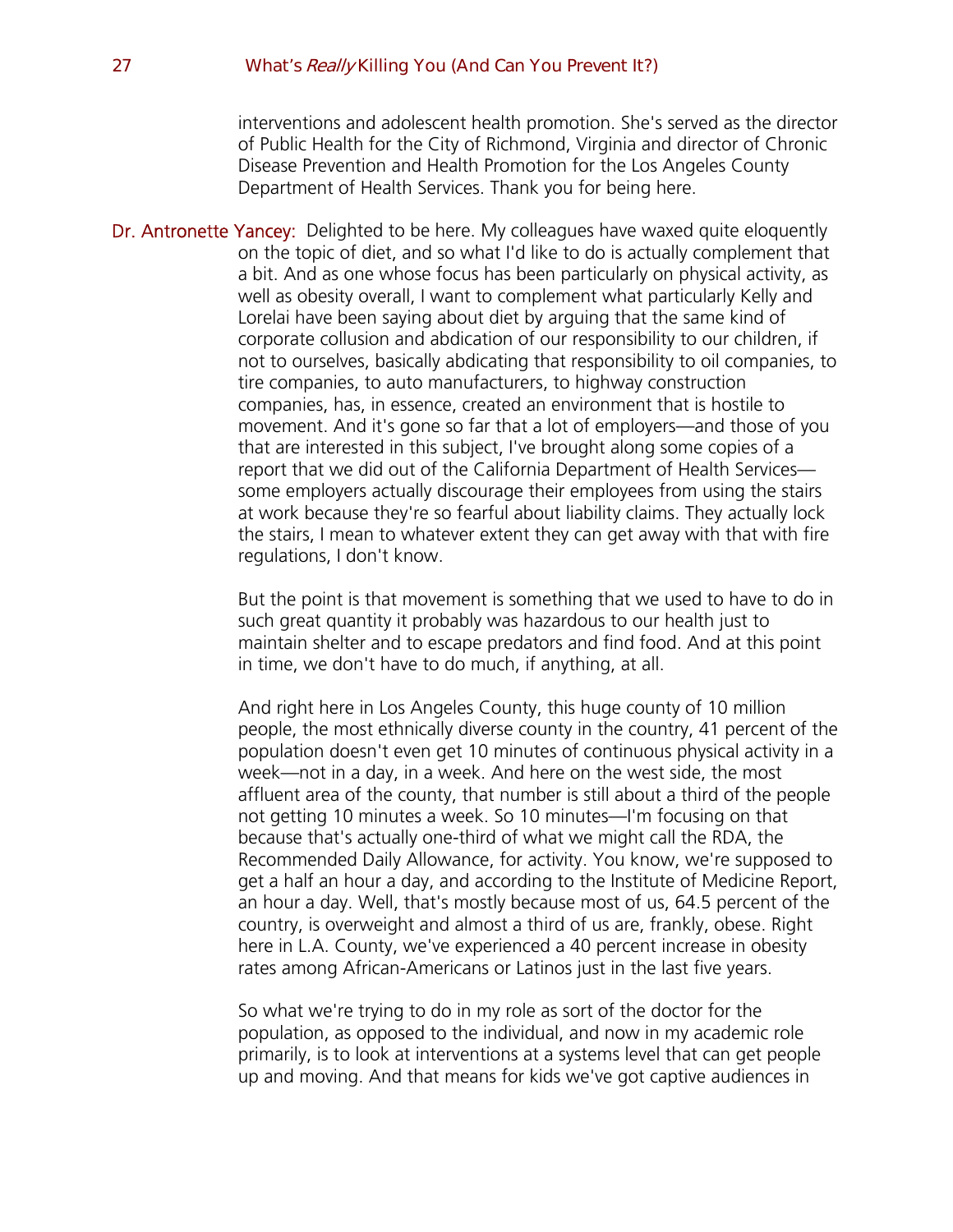interventions and adolescent health promotion. She's served as the director of Public Health for the City of Richmond, Virginia and director of Chronic Disease Prevention and Health Promotion for the Los Angeles County Department of Health Services. Thank you for being here.

Dr. Antronette Yancey: Delighted to be here. My colleagues have waxed quite eloquently on the topic of diet, and so what I'd like to do is actually complement that a bit. And as one whose focus has been particularly on physical activity, as well as obesity overall, I want to complement what particularly Kelly and Lorelai have been saying about diet by arguing that the same kind of corporate collusion and abdication of our responsibility to our children, if not to ourselves, basically abdicating that responsibility to oil companies, to tire companies, to auto manufacturers, to highway construction companies, has, in essence, created an environment that is hostile to movement. And it's gone so far that a lot of employers—and those of you that are interested in this subject, I've brought along some copies of a report that we did out of the California Department of Health Services some employers actually discourage their employees from using the stairs at work because they're so fearful about liability claims. They actually lock the stairs, I mean to whatever extent they can get away with that with fire regulations, I don't know.

> But the point is that movement is something that we used to have to do in such great quantity it probably was hazardous to our health just to maintain shelter and to escape predators and find food. And at this point in time, we don't have to do much, if anything, at all.

> And right here in Los Angeles County, this huge county of 10 million people, the most ethnically diverse county in the country, 41 percent of the population doesn't even get 10 minutes of continuous physical activity in a week—not in a day, in a week. And here on the west side, the most affluent area of the county, that number is still about a third of the people not getting 10 minutes a week. So 10 minutes—I'm focusing on that because that's actually one-third of what we might call the RDA, the Recommended Daily Allowance, for activity. You know, we're supposed to get a half an hour a day, and according to the Institute of Medicine Report, an hour a day. Well, that's mostly because most of us, 64.5 percent of the country, is overweight and almost a third of us are, frankly, obese. Right here in L.A. County, we've experienced a 40 percent increase in obesity rates among African-Americans or Latinos just in the last five years.

So what we're trying to do in my role as sort of the doctor for the population, as opposed to the individual, and now in my academic role primarily, is to look at interventions at a systems level that can get people up and moving. And that means for kids we've got captive audiences in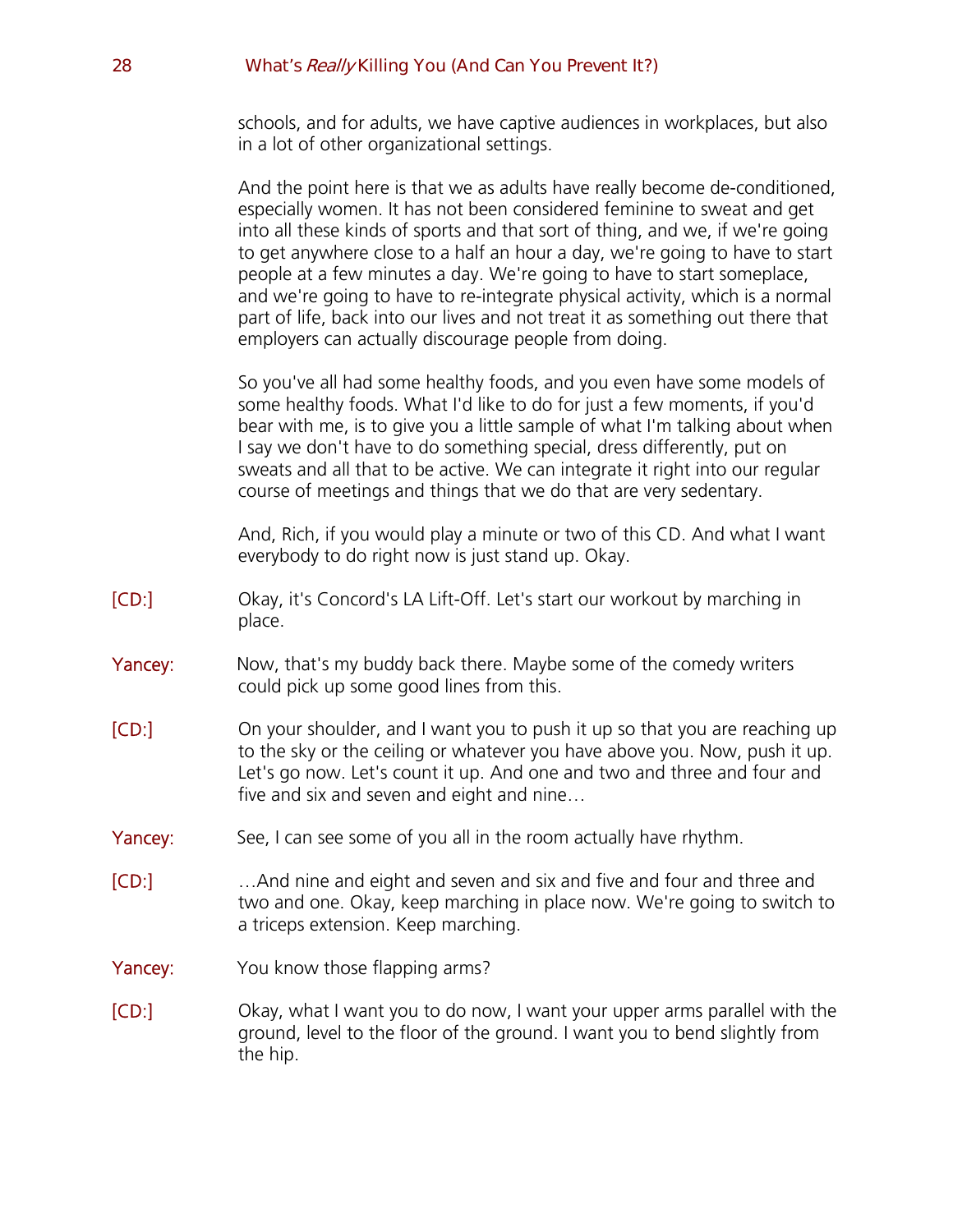schools, and for adults, we have captive audiences in workplaces, but also in a lot of other organizational settings.

|         | And the point here is that we as adults have really become de-conditioned,<br>especially women. It has not been considered feminine to sweat and get<br>into all these kinds of sports and that sort of thing, and we, if we're going<br>to get anywhere close to a half an hour a day, we're going to have to start<br>people at a few minutes a day. We're going to have to start someplace,<br>and we're going to have to re-integrate physical activity, which is a normal<br>part of life, back into our lives and not treat it as something out there that<br>employers can actually discourage people from doing. |
|---------|--------------------------------------------------------------------------------------------------------------------------------------------------------------------------------------------------------------------------------------------------------------------------------------------------------------------------------------------------------------------------------------------------------------------------------------------------------------------------------------------------------------------------------------------------------------------------------------------------------------------------|
|         | So you've all had some healthy foods, and you even have some models of<br>some healthy foods. What I'd like to do for just a few moments, if you'd<br>bear with me, is to give you a little sample of what I'm talking about when<br>I say we don't have to do something special, dress differently, put on<br>sweats and all that to be active. We can integrate it right into our regular<br>course of meetings and things that we do that are very sedentary.                                                                                                                                                         |
|         | And, Rich, if you would play a minute or two of this CD. And what I want<br>everybody to do right now is just stand up. Okay.                                                                                                                                                                                                                                                                                                                                                                                                                                                                                            |
| [CD:]   | Okay, it's Concord's LA Lift-Off. Let's start our workout by marching in<br>place.                                                                                                                                                                                                                                                                                                                                                                                                                                                                                                                                       |
| Yancey: | Now, that's my buddy back there. Maybe some of the comedy writers<br>could pick up some good lines from this.                                                                                                                                                                                                                                                                                                                                                                                                                                                                                                            |
| [CD:]   | On your shoulder, and I want you to push it up so that you are reaching up<br>to the sky or the ceiling or whatever you have above you. Now, push it up.<br>Let's go now. Let's count it up. And one and two and three and four and<br>five and six and seven and eight and nine                                                                                                                                                                                                                                                                                                                                         |
| Yancey: | See, I can see some of you all in the room actually have rhythm.                                                                                                                                                                                                                                                                                                                                                                                                                                                                                                                                                         |
| [CD:]   | And nine and eight and seven and six and five and four and three and<br>two and one. Okay, keep marching in place now. We're going to switch to<br>a triceps extension. Keep marching.                                                                                                                                                                                                                                                                                                                                                                                                                                   |
| Yancey: | You know those flapping arms?                                                                                                                                                                                                                                                                                                                                                                                                                                                                                                                                                                                            |
| [CD:]   | Okay, what I want you to do now, I want your upper arms parallel with the<br>ground, level to the floor of the ground. I want you to bend slightly from<br>the hip.                                                                                                                                                                                                                                                                                                                                                                                                                                                      |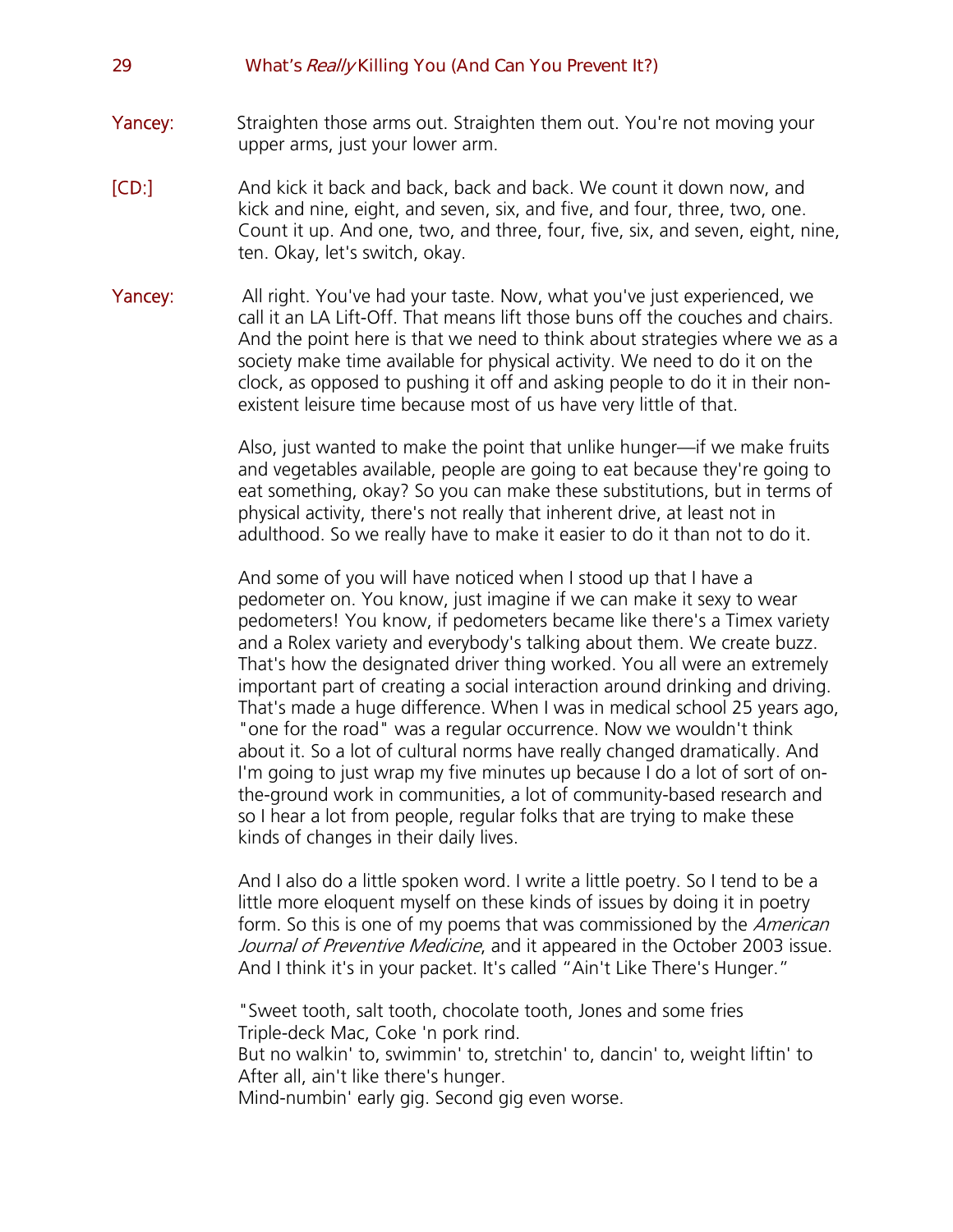- **Yancey:** Straighten those arms out. Straighten them out. You're not moving your upper arms, just your lower arm.
- [CD:] And kick it back and back, back and back. We count it down now, and kick and nine, eight, and seven, six, and five, and four, three, two, one. Count it up. And one, two, and three, four, five, six, and seven, eight, nine, ten. Okay, let's switch, okay.
- **Yancey:** All right. You've had your taste. Now, what you've just experienced, we call it an LA Lift-Off. That means lift those buns off the couches and chairs. And the point here is that we need to think about strategies where we as a society make time available for physical activity. We need to do it on the clock, as opposed to pushing it off and asking people to do it in their nonexistent leisure time because most of us have very little of that.

Also, just wanted to make the point that unlike hunger—if we make fruits and vegetables available, people are going to eat because they're going to eat something, okay? So you can make these substitutions, but in terms of physical activity, there's not really that inherent drive, at least not in adulthood. So we really have to make it easier to do it than not to do it.

And some of you will have noticed when I stood up that I have a pedometer on. You know, just imagine if we can make it sexy to wear pedometers! You know, if pedometers became like there's a Timex variety and a Rolex variety and everybody's talking about them. We create buzz. That's how the designated driver thing worked. You all were an extremely important part of creating a social interaction around drinking and driving. That's made a huge difference. When I was in medical school 25 years ago, "one for the road" was a regular occurrence. Now we wouldn't think about it. So a lot of cultural norms have really changed dramatically. And I'm going to just wrap my five minutes up because I do a lot of sort of onthe-ground work in communities, a lot of community-based research and so I hear a lot from people, regular folks that are trying to make these kinds of changes in their daily lives.

And I also do a little spoken word. I write a little poetry. So I tend to be a little more eloquent myself on these kinds of issues by doing it in poetry form. So this is one of my poems that was commissioned by the *American* Journal of Preventive Medicine, and it appeared in the October 2003 issue. And I think it's in your packet. It's called "Ain't Like There's Hunger."

"Sweet tooth, salt tooth, chocolate tooth, Jones and some fries Triple-deck Mac, Coke 'n pork rind.

But no walkin' to, swimmin' to, stretchin' to, dancin' to, weight liftin' to After all, ain't like there's hunger.

Mind-numbin' early gig. Second gig even worse.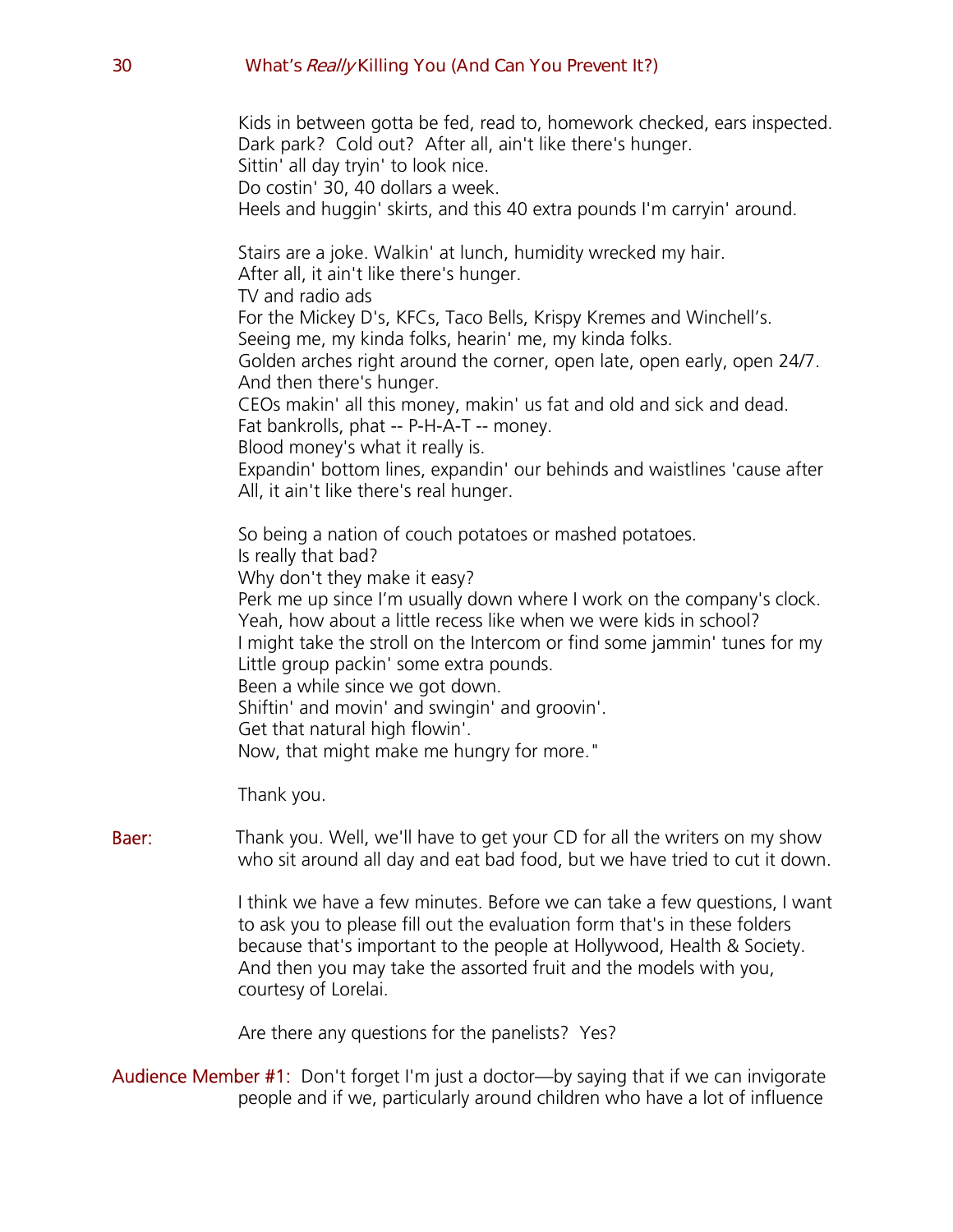Kids in between gotta be fed, read to, homework checked, ears inspected. Dark park? Cold out? After all, ain't like there's hunger. Sittin' all day tryin' to look nice. Do costin' 30, 40 dollars a week. Heels and huggin' skirts, and this 40 extra pounds I'm carryin' around. Stairs are a joke. Walkin' at lunch, humidity wrecked my hair. After all, it ain't like there's hunger. TV and radio ads For the Mickey D's, KFCs, Taco Bells, Krispy Kremes and Winchell's. Seeing me, my kinda folks, hearin' me, my kinda folks. Golden arches right around the corner, open late, open early, open 24/7. And then there's hunger. CEOs makin' all this money, makin' us fat and old and sick and dead. Fat bankrolls, phat -- P-H-A-T -- money. Blood money's what it really is. Expandin' bottom lines, expandin' our behinds and waistlines 'cause after All, it ain't like there's real hunger. So being a nation of couch potatoes or mashed potatoes. Is really that bad? Why don't they make it easy? Perk me up since I'm usually down where I work on the company's clock. Yeah, how about a little recess like when we were kids in school? I might take the stroll on the Intercom or find some jammin' tunes for my Little group packin' some extra pounds. Been a while since we got down. Shiftin' and movin' and swingin' and groovin'. Get that natural high flowin'. Now, that might make me hungry for more." Thank you.

**Baer:** Thank you. Well, we'll have to get your CD for all the writers on my show who sit around all day and eat bad food, but we have tried to cut it down.

> I think we have a few minutes. Before we can take a few questions, I want to ask you to please fill out the evaluation form that's in these folders because that's important to the people at Hollywood, Health & Society. And then you may take the assorted fruit and the models with you, courtesy of Lorelai.

Are there any questions for the panelists? Yes?

Audience Member #1: Don't forget I'm just a doctor—by saying that if we can invigorate people and if we, particularly around children who have a lot of influence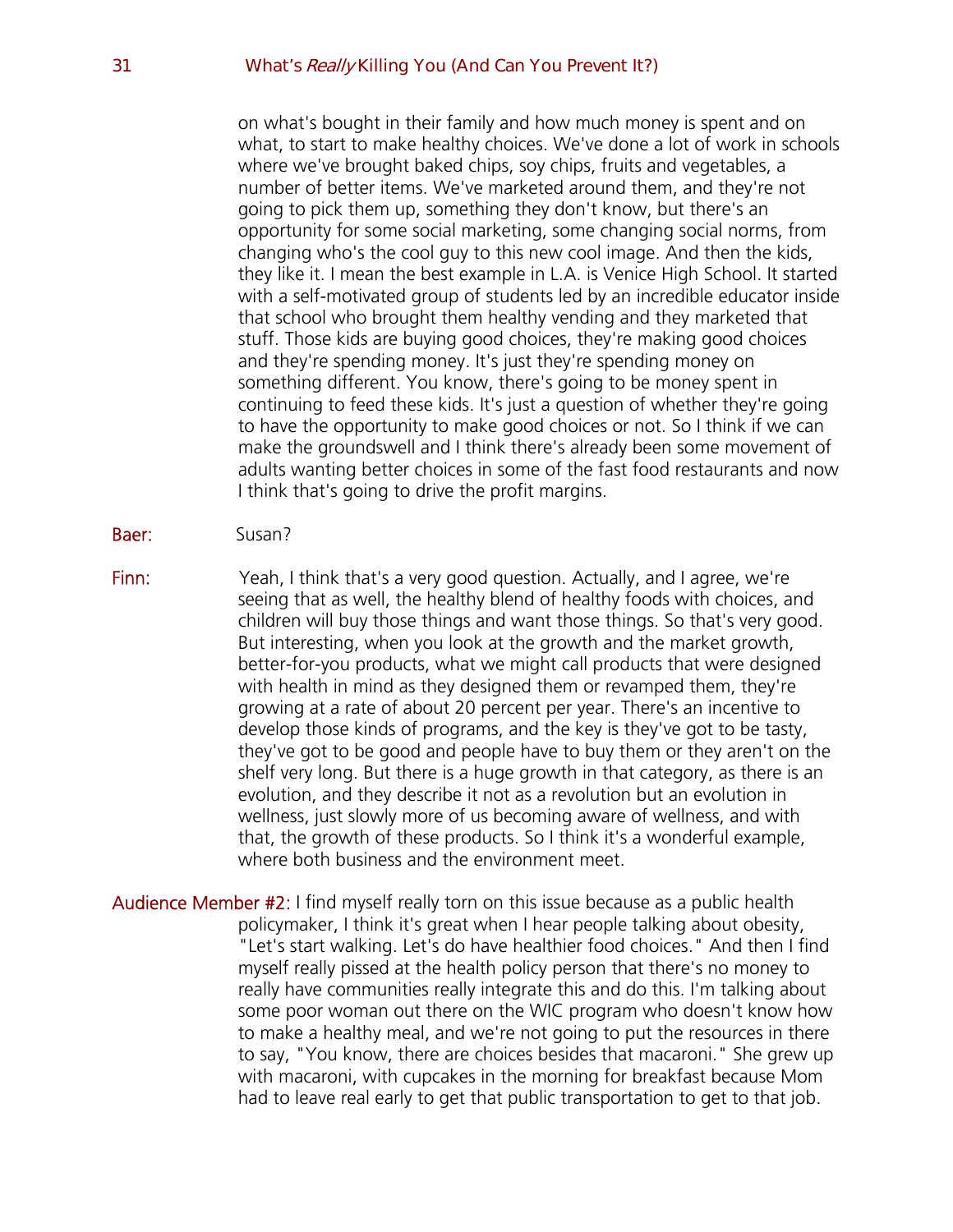on what's bought in their family and how much money is spent and on what, to start to make healthy choices. We've done a lot of work in schools where we've brought baked chips, soy chips, fruits and vegetables, a number of better items. We've marketed around them, and they're not going to pick them up, something they don't know, but there's an opportunity for some social marketing, some changing social norms, from changing who's the cool guy to this new cool image. And then the kids, they like it. I mean the best example in L.A. is Venice High School. It started with a self-motivated group of students led by an incredible educator inside that school who brought them healthy vending and they marketed that stuff. Those kids are buying good choices, they're making good choices and they're spending money. It's just they're spending money on something different. You know, there's going to be money spent in continuing to feed these kids. It's just a question of whether they're going to have the opportunity to make good choices or not. So I think if we can make the groundswell and I think there's already been some movement of adults wanting better choices in some of the fast food restaurants and now I think that's going to drive the profit margins.

- Baer: Susan?
- Finn: Yeah, I think that's a very good question. Actually, and I agree, we're seeing that as well, the healthy blend of healthy foods with choices, and children will buy those things and want those things. So that's very good. But interesting, when you look at the growth and the market growth, better-for-you products, what we might call products that were designed with health in mind as they designed them or revamped them, they're growing at a rate of about 20 percent per year. There's an incentive to develop those kinds of programs, and the key is they've got to be tasty, they've got to be good and people have to buy them or they aren't on the shelf very long. But there is a huge growth in that category, as there is an evolution, and they describe it not as a revolution but an evolution in wellness, just slowly more of us becoming aware of wellness, and with that, the growth of these products. So I think it's a wonderful example, where both business and the environment meet.

Audience Member #2: I find myself really torn on this issue because as a public health policymaker, I think it's great when I hear people talking about obesity, "Let's start walking. Let's do have healthier food choices." And then I find myself really pissed at the health policy person that there's no money to really have communities really integrate this and do this. I'm talking about some poor woman out there on the WIC program who doesn't know how to make a healthy meal, and we're not going to put the resources in there to say, "You know, there are choices besides that macaroni." She grew up with macaroni, with cupcakes in the morning for breakfast because Mom had to leave real early to get that public transportation to get to that job.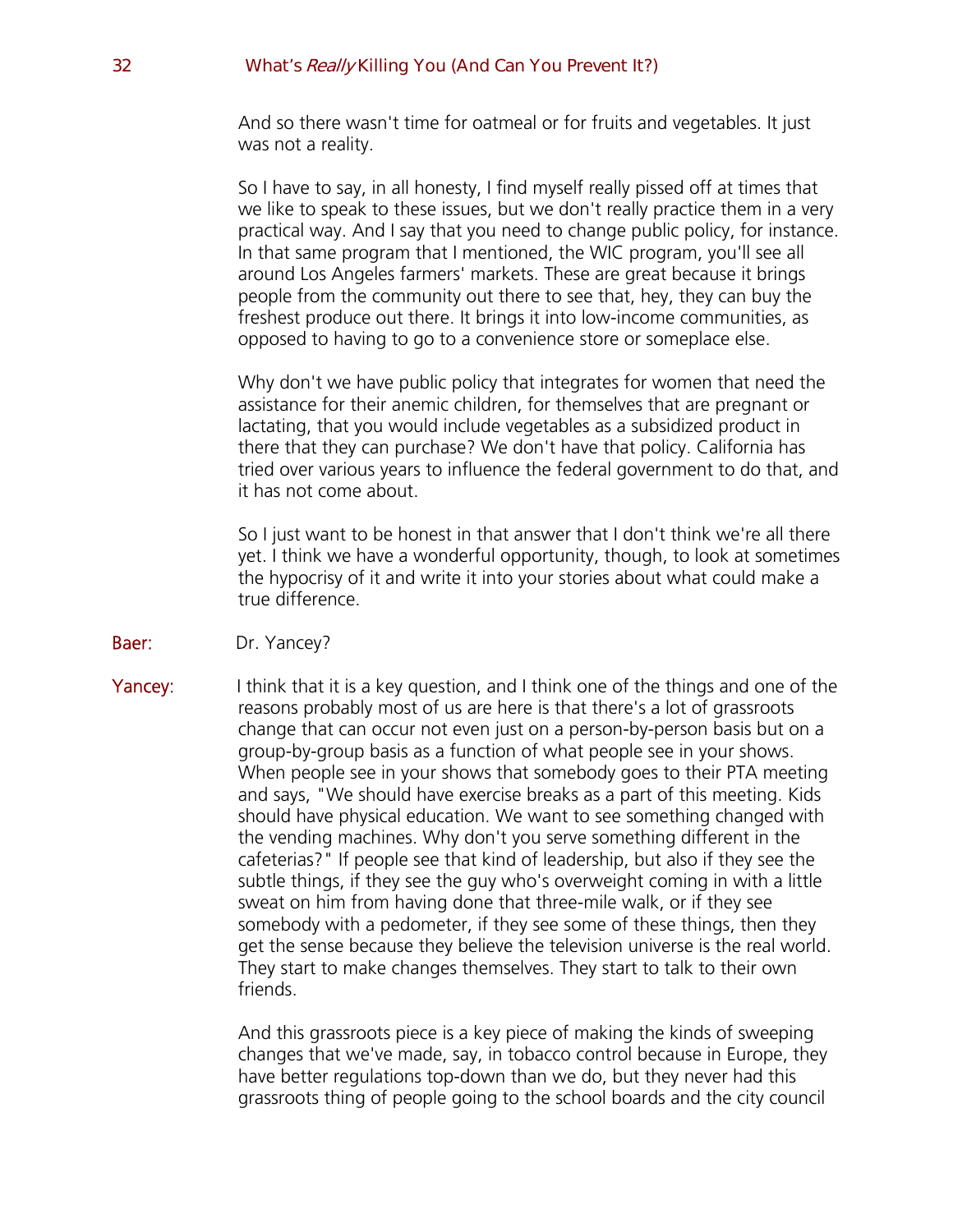And so there wasn't time for oatmeal or for fruits and vegetables. It just was not a reality.

So I have to say, in all honesty, I find myself really pissed off at times that we like to speak to these issues, but we don't really practice them in a very practical way. And I say that you need to change public policy, for instance. In that same program that I mentioned, the WIC program, you'll see all around Los Angeles farmers' markets. These are great because it brings people from the community out there to see that, hey, they can buy the freshest produce out there. It brings it into low-income communities, as opposed to having to go to a convenience store or someplace else.

Why don't we have public policy that integrates for women that need the assistance for their anemic children, for themselves that are pregnant or lactating, that you would include vegetables as a subsidized product in there that they can purchase? We don't have that policy. California has tried over various years to influence the federal government to do that, and it has not come about.

So I just want to be honest in that answer that I don't think we're all there yet. I think we have a wonderful opportunity, though, to look at sometimes the hypocrisy of it and write it into your stories about what could make a true difference.

- Baer: Dr. Yancey?
- **Yancey:** I think that it is a key question, and I think one of the things and one of the reasons probably most of us are here is that there's a lot of grassroots change that can occur not even just on a person-by-person basis but on a group-by-group basis as a function of what people see in your shows. When people see in your shows that somebody goes to their PTA meeting and says, "We should have exercise breaks as a part of this meeting. Kids should have physical education. We want to see something changed with the vending machines. Why don't you serve something different in the cafeterias?" If people see that kind of leadership, but also if they see the subtle things, if they see the guy who's overweight coming in with a little sweat on him from having done that three-mile walk, or if they see somebody with a pedometer, if they see some of these things, then they get the sense because they believe the television universe is the real world. They start to make changes themselves. They start to talk to their own friends.

And this grassroots piece is a key piece of making the kinds of sweeping changes that we've made, say, in tobacco control because in Europe, they have better regulations top-down than we do, but they never had this grassroots thing of people going to the school boards and the city council